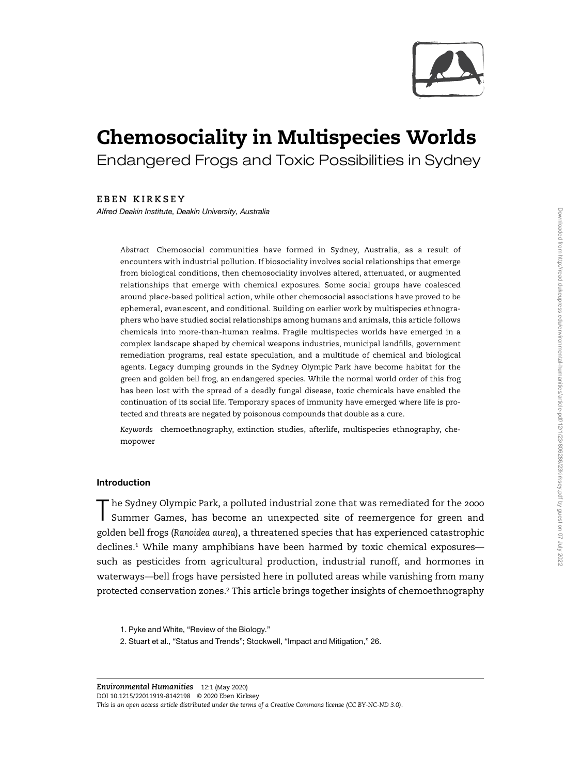

# Chemosociality in Multispecies Worlds Endangered Frogs and Toxic Possibilities in Sydney

EBEN KIRKSEY

Alfred Deakin Institute, Deakin University, Australia

Abstract Chemosocial communities have formed in Sydney, Australia, as a result of encounters with industrial pollution. If biosociality involves social relationships that emerge from biological conditions, then chemosociality involves altered, attenuated, or augmented relationships that emerge with chemical exposures. Some social groups have coalesced around place-based political action, while other chemosocial associations have proved to be ephemeral, evanescent, and conditional. Building on earlier work by multispecies ethnographers who have studied social relationships among humans and animals, this article follows chemicals into more-than-human realms. Fragile multispecies worlds have emerged in a complex landscape shaped by chemical weapons industries, municipal landfills, government remediation programs, real estate speculation, and a multitude of chemical and biological agents. Legacy dumping grounds in the Sydney Olympic Park have become habitat for the green and golden bell frog, an endangered species. While the normal world order of this frog has been lost with the spread of a deadly fungal disease, toxic chemicals have enabled the continuation of its social life. Temporary spaces of immunity have emerged where life is protected and threats are negated by poisonous compounds that double as a cure.

Keywords chemoethnography, extinction studies, afterlife, multispecies ethnography, chemopower

# Introduction

T he Sydney Olympic Park, a polluted industrial zone that was remediated for the 2000 Summer Games, has become an unexpected site of reemergence for green and golden bell frogs (Ranoidea aurea), a threatened species that has experienced catastrophic declines.<sup>1</sup> While many amphibians have been harmed by toxic chemical exposures such as pesticides from agricultural production, industrial runoff, and hormones in waterways—bell frogs have persisted here in polluted areas while vanishing from many protected conservation zones.<sup>2</sup> This article brings together insights of chemoethnography

<sup>1.</sup> Pyke and White, "Review of the Biology."

<sup>2.</sup> Stuart et al., "Status and Trends"; Stockwell, "Impact and Mitigation," 26.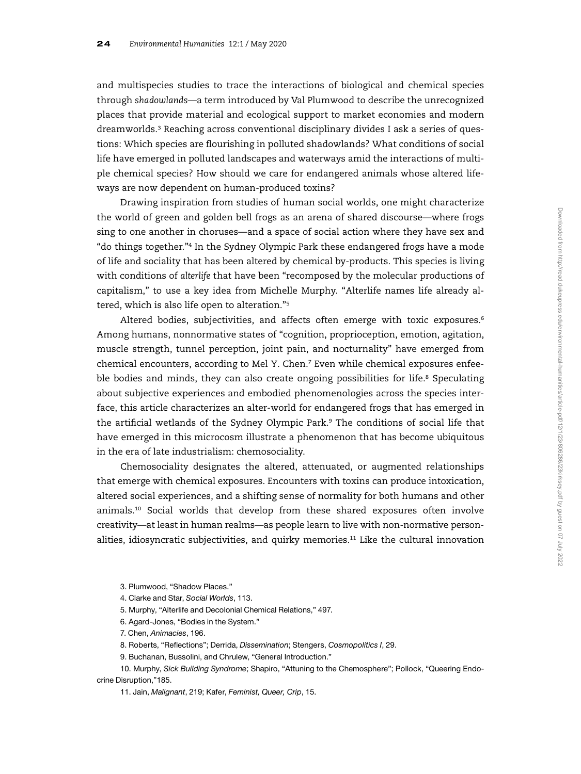and multispecies studies to trace the interactions of biological and chemical species through shadowlands—a term introduced by Val Plumwood to describe the unrecognized places that provide material and ecological support to market economies and modern dreamworlds.<sup>3</sup> Reaching across conventional disciplinary divides I ask a series of questions: Which species are flourishing in polluted shadowlands? What conditions of social life have emerged in polluted landscapes and waterways amid the interactions of multiple chemical species? How should we care for endangered animals whose altered lifeways are now dependent on human-produced toxins?

Drawing inspiration from studies of human social worlds, one might characterize the world of green and golden bell frogs as an arena of shared discourse—where frogs sing to one another in choruses—and a space of social action where they have sex and "do things together."<sup>4</sup> In the Sydney Olympic Park these endangered frogs have a mode of life and sociality that has been altered by chemical by-products. This species is living with conditions of alterlife that have been "recomposed by the molecular productions of capitalism," to use a key idea from Michelle Murphy. "Alterlife names life already altered, which is also life open to alteration."<sup>5</sup>

Altered bodies, subjectivities, and affects often emerge with toxic exposures.<sup>6</sup> Among humans, nonnormative states of "cognition, proprioception, emotion, agitation, muscle strength, tunnel perception, joint pain, and nocturnality" have emerged from chemical encounters, according to Mel Y. Chen.<sup>7</sup> Even while chemical exposures enfeeble bodies and minds, they can also create ongoing possibilities for life.<sup>8</sup> Speculating about subjective experiences and embodied phenomenologies across the species interface, this article characterizes an alter-world for endangered frogs that has emerged in the artificial wetlands of the Sydney Olympic Park.<sup>9</sup> The conditions of social life that have emerged in this microcosm illustrate a phenomenon that has become ubiquitous in the era of late industrialism: chemosociality.

Chemosociality designates the altered, attenuated, or augmented relationships that emerge with chemical exposures. Encounters with toxins can produce intoxication, altered social experiences, and a shifting sense of normality for both humans and other animals.<sup>10</sup> Social worlds that develop from these shared exposures often involve creativity—at least in human realms—as people learn to live with non-normative personalities, idiosyncratic subjectivities, and quirky memories.<sup>11</sup> Like the cultural innovation

3. Plumwood, "Shadow Places."

4. Clarke and Star, Social Worlds, 113.

5. Murphy, "Alterlife and Decolonial Chemical Relations," 497.

6. Agard-Jones, "Bodies in the System."

7. Chen, Animacies, 196.

8. Roberts, "Reflections"; Derrida, Dissemination; Stengers, Cosmopolitics I, 29.

9. Buchanan, Bussolini, and Chrulew, "General Introduction."

10. Murphy, Sick Building Syndrome; Shapiro, "Attuning to the Chemosphere"; Pollock, "Queering Endocrine Disruption,"185.

11. Jain, Malignant, 219; Kafer, Feminist, Queer, Crip, 15.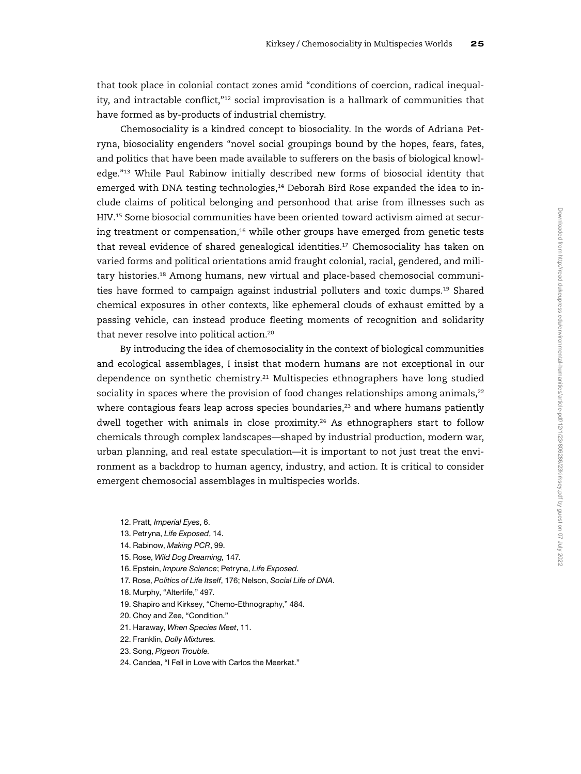that took place in colonial contact zones amid "conditions of coercion, radical inequality, and intractable conflict,"<sup>12</sup> social improvisation is a hallmark of communities that have formed as by-products of industrial chemistry.

Chemosociality is a kindred concept to biosociality. In the words of Adriana Petryna, biosociality engenders "novel social groupings bound by the hopes, fears, fates, and politics that have been made available to sufferers on the basis of biological knowledge."<sup>13</sup> While Paul Rabinow initially described new forms of biosocial identity that emerged with DNA testing technologies,<sup>14</sup> Deborah Bird Rose expanded the idea to include claims of political belonging and personhood that arise from illnesses such as HIV.<sup>15</sup> Some biosocial communities have been oriented toward activism aimed at securing treatment or compensation, $16$  while other groups have emerged from genetic tests that reveal evidence of shared genealogical identities.<sup>17</sup> Chemosociality has taken on varied forms and political orientations amid fraught colonial, racial, gendered, and military histories.<sup>18</sup> Among humans, new virtual and place-based chemosocial communities have formed to campaign against industrial polluters and toxic dumps.<sup>19</sup> Shared chemical exposures in other contexts, like ephemeral clouds of exhaust emitted by a passing vehicle, can instead produce fleeting moments of recognition and solidarity that never resolve into political action.<sup>20</sup>

By introducing the idea of chemosociality in the context of biological communities and ecological assemblages, I insist that modern humans are not exceptional in our dependence on synthetic chemistry.<sup>21</sup> Multispecies ethnographers have long studied sociality in spaces where the provision of food changes relationships among animals, $^{22}$ where contagious fears leap across species boundaries, $23$  and where humans patiently dwell together with animals in close proximity.<sup>24</sup> As ethnographers start to follow chemicals through complex landscapes—shaped by industrial production, modern war, urban planning, and real estate speculation—it is important to not just treat the environment as a backdrop to human agency, industry, and action. It is critical to consider emergent chemosocial assemblages in multispecies worlds.

12. Pratt, Imperial Eyes, 6.

- 13. Petryna, Life Exposed, 14.
- 14. Rabinow, Making PCR, 99.
- 15. Rose, Wild Dog Dreaming, 147.
- 16. Epstein, Impure Science; Petryna, Life Exposed.
- 17. Rose, Politics of Life Itself, 176; Nelson, Social Life of DNA.
- 18. Murphy, "Alterlife," 497.
- 19. Shapiro and Kirksey, "Chemo-Ethnography," 484.
- 20. Choy and Zee, "Condition."
- 21. Haraway, When Species Meet, 11.
- 22. Franklin, Dolly Mixtures.
- 23. Song, Pigeon Trouble.
- 24. Candea, "I Fell in Love with Carlos the Meerkat."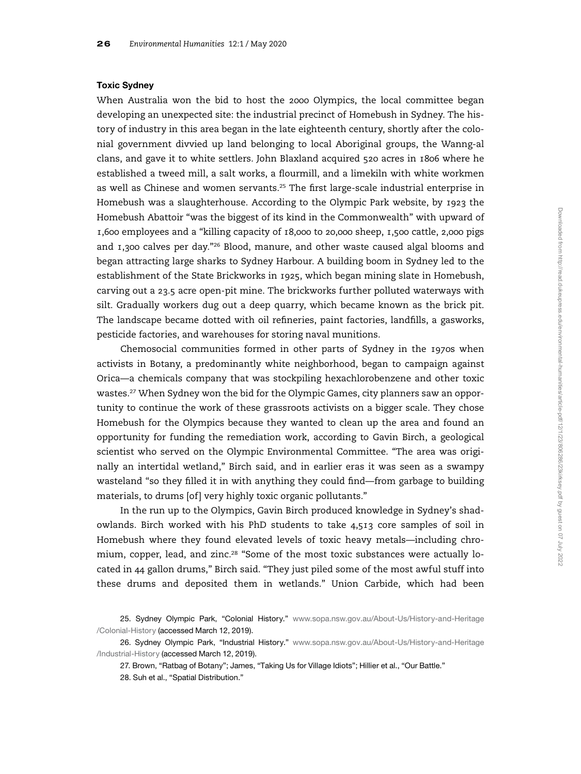## Toxic Sydney

When Australia won the bid to host the 2000 Olympics, the local committee began developing an unexpected site: the industrial precinct of Homebush in Sydney. The history of industry in this area began in the late eighteenth century, shortly after the colonial government divvied up land belonging to local Aboriginal groups, the Wanng-al clans, and gave it to white settlers. John Blaxland acquired 520 acres in 1806 where he established a tweed mill, a salt works, a flourmill, and a limekiln with white workmen as well as Chinese and women servants.<sup>25</sup> The first large-scale industrial enterprise in Homebush was a slaughterhouse. According to the Olympic Park website, by 1923 the Homebush Abattoir "was the biggest of its kind in the Commonwealth" with upward of 1,600 employees and a "killing capacity of 18,000 to 20,000 sheep, 1,500 cattle, 2,000 pigs and  $1,300$  calves per day."<sup>26</sup> Blood, manure, and other waste caused algal blooms and began attracting large sharks to Sydney Harbour. A building boom in Sydney led to the establishment of the State Brickworks in 1925, which began mining slate in Homebush, carving out a 23.5 acre open-pit mine. The brickworks further polluted waterways with silt. Gradually workers dug out a deep quarry, which became known as the brick pit. The landscape became dotted with oil refineries, paint factories, landfills, a gasworks, pesticide factories, and warehouses for storing naval munitions.

Chemosocial communities formed in other parts of Sydney in the 1970s when activists in Botany, a predominantly white neighborhood, began to campaign against Orica—a chemicals company that was stockpiling hexachlorobenzene and other toxic wastes.<sup>27</sup> When Sydney won the bid for the Olympic Games, city planners saw an opportunity to continue the work of these grassroots activists on a bigger scale. They chose Homebush for the Olympics because they wanted to clean up the area and found an opportunity for funding the remediation work, according to Gavin Birch, a geological scientist who served on the Olympic Environmental Committee. "The area was originally an intertidal wetland," Birch said, and in earlier eras it was seen as a swampy wasteland "so they filled it in with anything they could find—from garbage to building materials, to drums [of] very highly toxic organic pollutants."

In the run up to the Olympics, Gavin Birch produced knowledge in Sydney's shadowlands. Birch worked with his PhD students to take 4,513 core samples of soil in Homebush where they found elevated levels of toxic heavy metals—including chromium, copper, lead, and zinc.<sup>28</sup> "Some of the most toxic substances were actually located in 44 gallon drums," Birch said. "They just piled some of the most awful stuff into these drums and deposited them in wetlands." Union Carbide, which had been

27. Brown, "Ratbag of Botany"; James, "Taking Us for Village Idiots"; Hillier et al., "Our Battle."

<sup>25.</sup> Sydney Olympic Park, "Colonial History." [www.sopa.nsw.gov.au/About-Us/History-and-Heritage](http://www.sopa.nsw.gov.au/About-Us/History-and-Heritage/Colonial-History) [/Colonial-History](http://www.sopa.nsw.gov.au/About-Us/History-and-Heritage/Colonial-History) (accessed March 12, 2019).

<sup>26.</sup> Sydney Olympic Park, "Industrial History." [www.sopa.nsw.gov.au/About-Us/History-and-Heritage](http://www.sopa.nsw.gov.au/About-Us/History-and-Heritage/Industrial-History) [/Industrial-History](http://www.sopa.nsw.gov.au/About-Us/History-and-Heritage/Industrial-History) (accessed March 12, 2019).

<sup>28.</sup> Suh et al., "Spatial Distribution."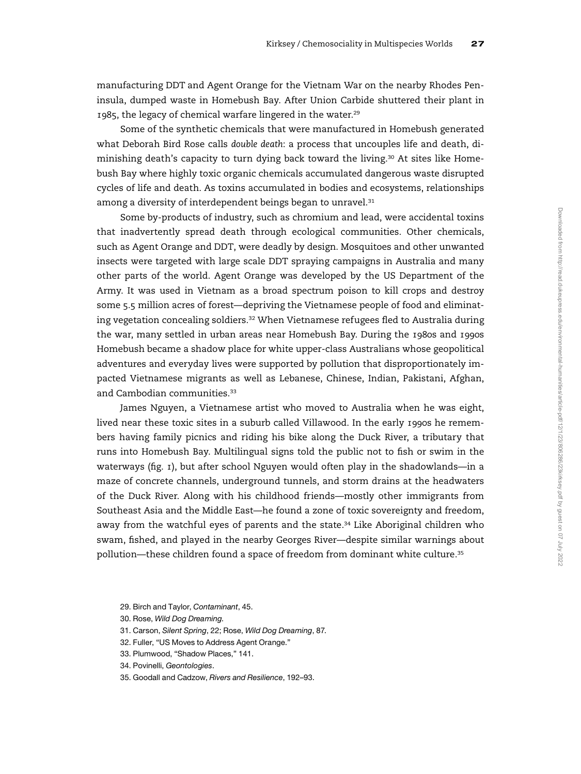manufacturing DDT and Agent Orange for the Vietnam War on the nearby Rhodes Peninsula, dumped waste in Homebush Bay. After Union Carbide shuttered their plant in 1985, the legacy of chemical warfare lingered in the water.<sup>29</sup>

Some of the synthetic chemicals that were manufactured in Homebush generated what Deborah Bird Rose calls double death: a process that uncouples life and death, diminishing death's capacity to turn dying back toward the living.<sup>30</sup> At sites like Homebush Bay where highly toxic organic chemicals accumulated dangerous waste disrupted cycles of life and death. As toxins accumulated in bodies and ecosystems, relationships among a diversity of interdependent beings began to unravel.<sup>31</sup>

Some by-products of industry, such as chromium and lead, were accidental toxins that inadvertently spread death through ecological communities. Other chemicals, such as Agent Orange and DDT, were deadly by design. Mosquitoes and other unwanted insects were targeted with large scale DDT spraying campaigns in Australia and many other parts of the world. Agent Orange was developed by the US Department of the Army. It was used in Vietnam as a broad spectrum poison to kill crops and destroy some 5.5 million acres of forest—depriving the Vietnamese people of food and eliminating vegetation concealing soldiers.<sup>32</sup> When Vietnamese refugees fled to Australia during the war, many settled in urban areas near Homebush Bay. During the 1980s and 1990s Homebush became a shadow place for white upper-class Australians whose geopolitical adventures and everyday lives were supported by pollution that disproportionately impacted Vietnamese migrants as well as Lebanese, Chinese, Indian, Pakistani, Afghan, and Cambodian communities.<sup>33</sup>

James Nguyen, a Vietnamese artist who moved to Australia when he was eight, lived near these toxic sites in a suburb called Villawood. In the early 1990s he remembers having family picnics and riding his bike along the Duck River, a tributary that runs into Homebush Bay. Multilingual signs told the public not to fish or swim in the waterways (fig. 1), but after school Nguyen would often play in the shadowlands—in a maze of concrete channels, underground tunnels, and storm drains at the headwaters of the Duck River. Along with his childhood friends—mostly other immigrants from Southeast Asia and the Middle East—he found a zone of toxic sovereignty and freedom, away from the watchful eyes of parents and the state.<sup>34</sup> Like Aboriginal children who swam, fished, and played in the nearby Georges River—despite similar warnings about pollution—these children found a space of freedom from dominant white culture.<sup>35</sup>

29. Birch and Taylor, Contaminant, 45.

31. Carson, Silent Spring, 22; Rose, Wild Dog Dreaming, 87.

<sup>30.</sup> Rose, Wild Dog Dreaming.

<sup>32.</sup> Fuller, "US Moves to Address Agent Orange."

<sup>33.</sup> Plumwood, "Shadow Places," 141.

<sup>34.</sup> Povinelli, Geontologies.

<sup>35.</sup> Goodall and Cadzow, Rivers and Resilience, 192–93.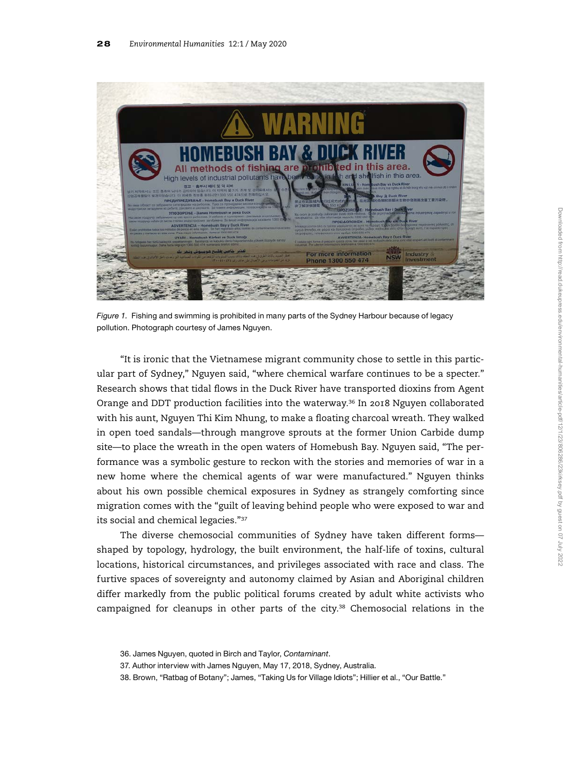

Figure 1. Fishing and swimming is prohibited in many parts of the Sydney Harbour because of legacy pollution. Photograph courtesy of James Nguyen.

"It is ironic that the Vietnamese migrant community chose to settle in this particular part of Sydney," Nguyen said, "where chemical warfare continues to be a specter." Research shows that tidal flows in the Duck River have transported dioxins from Agent Orange and DDT production facilities into the waterway.<sup>36</sup> In 2018 Nguyen collaborated with his aunt, Nguyen Thi Kim Nhung, to make a floating charcoal wreath. They walked in open toed sandals—through mangrove sprouts at the former Union Carbide dump site—to place the wreath in the open waters of Homebush Bay. Nguyen said, "The performance was a symbolic gesture to reckon with the stories and memories of war in a new home where the chemical agents of war were manufactured." Nguyen thinks about his own possible chemical exposures in Sydney as strangely comforting since migration comes with the "guilt of leaving behind people who were exposed to war and its social and chemical legacies."<sup>37</sup>

The diverse chemosocial communities of Sydney have taken different forms shaped by topology, hydrology, the built environment, the half-life of toxins, cultural locations, historical circumstances, and privileges associated with race and class. The furtive spaces of sovereignty and autonomy claimed by Asian and Aboriginal children differ markedly from the public political forums created by adult white activists who campaigned for cleanups in other parts of the city.<sup>38</sup> Chemosocial relations in the

<sup>36.</sup> James Nguyen, quoted in Birch and Taylor, Contaminant.

<sup>37.</sup> Author interview with James Nguyen, May 17, 2018, Sydney, Australia.

<sup>38.</sup> Brown, "Ratbag of Botany"; James, "Taking Us for Village Idiots"; Hillier et al., "Our Battle."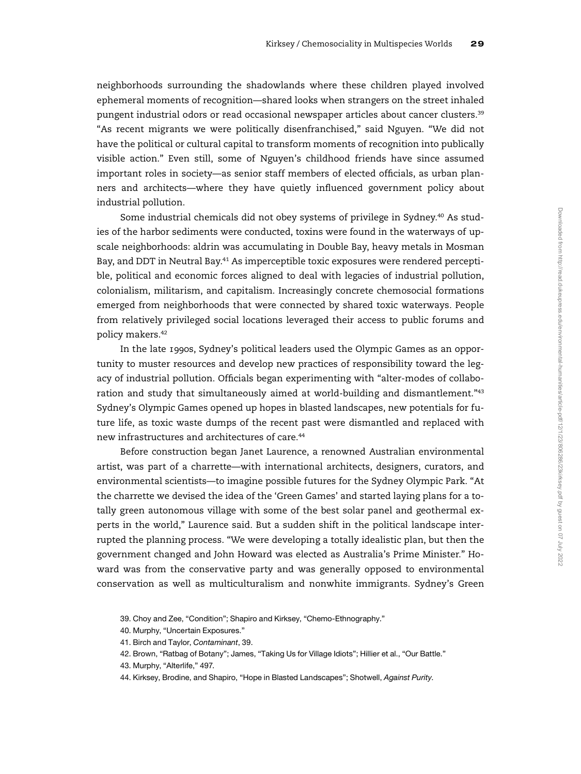neighborhoods surrounding the shadowlands where these children played involved ephemeral moments of recognition—shared looks when strangers on the street inhaled pungent industrial odors or read occasional newspaper articles about cancer clusters.<sup>39</sup> "As recent migrants we were politically disenfranchised," said Nguyen. "We did not have the political or cultural capital to transform moments of recognition into publically visible action." Even still, some of Nguyen's childhood friends have since assumed important roles in society—as senior staff members of elected officials, as urban planners and architects—where they have quietly influenced government policy about industrial pollution.

Some industrial chemicals did not obey systems of privilege in Sydney.<sup>40</sup> As studies of the harbor sediments were conducted, toxins were found in the waterways of upscale neighborhoods: aldrin was accumulating in Double Bay, heavy metals in Mosman Bay, and DDT in Neutral Bay.<sup>41</sup> As imperceptible toxic exposures were rendered perceptible, political and economic forces aligned to deal with legacies of industrial pollution, colonialism, militarism, and capitalism. Increasingly concrete chemosocial formations emerged from neighborhoods that were connected by shared toxic waterways. People from relatively privileged social locations leveraged their access to public forums and policy makers.<sup>42</sup>

In the late 1990s, Sydney's political leaders used the Olympic Games as an opportunity to muster resources and develop new practices of responsibility toward the legacy of industrial pollution. Officials began experimenting with "alter-modes of collaboration and study that simultaneously aimed at world-building and dismantlement."<sup>43</sup> Sydney's Olympic Games opened up hopes in blasted landscapes, new potentials for future life, as toxic waste dumps of the recent past were dismantled and replaced with new infrastructures and architectures of care.<sup>44</sup>

Before construction began Janet Laurence, a renowned Australian environmental artist, was part of a charrette—with international architects, designers, curators, and environmental scientists—to imagine possible futures for the Sydney Olympic Park. "At the charrette we devised the idea of the 'Green Games' and started laying plans for a totally green autonomous village with some of the best solar panel and geothermal experts in the world," Laurence said. But a sudden shift in the political landscape interrupted the planning process. "We were developing a totally idealistic plan, but then the government changed and John Howard was elected as Australia's Prime Minister." Howard was from the conservative party and was generally opposed to environmental conservation as well as multiculturalism and nonwhite immigrants. Sydney's Green

44. Kirksey, Brodine, and Shapiro, "Hope in Blasted Landscapes"; Shotwell, Against Purity.

<sup>39.</sup> Choy and Zee, "Condition"; Shapiro and Kirksey, "Chemo-Ethnography."

<sup>40.</sup> Murphy, "Uncertain Exposures."

<sup>41.</sup> Birch and Taylor, Contaminant, 39.

<sup>42.</sup> Brown, "Ratbag of Botany"; James, "Taking Us for Village Idiots"; Hillier et al., "Our Battle."

<sup>43.</sup> Murphy, "Alterlife," 497.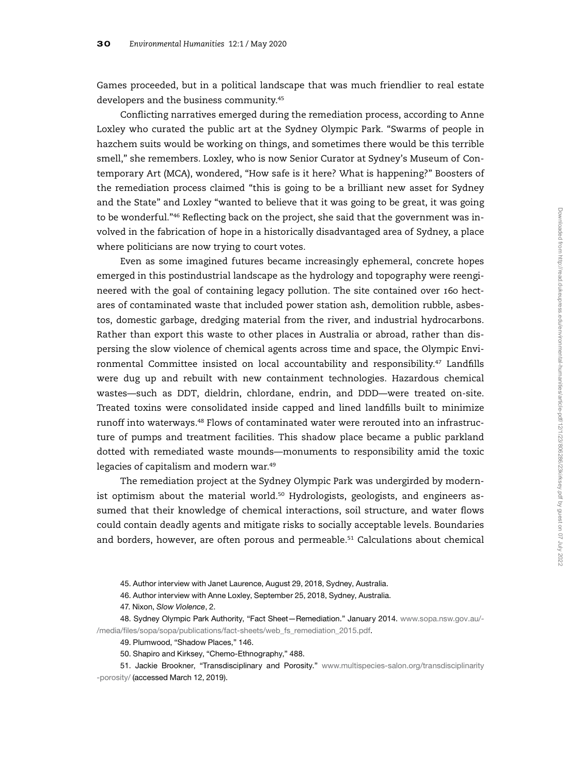Games proceeded, but in a political landscape that was much friendlier to real estate developers and the business community.<sup>45</sup>

Conflicting narratives emerged during the remediation process, according to Anne Loxley who curated the public art at the Sydney Olympic Park. "Swarms of people in hazchem suits would be working on things, and sometimes there would be this terrible smell," she remembers. Loxley, who is now Senior Curator at Sydney's Museum of Contemporary Art (MCA), wondered, "How safe is it here? What is happening?" Boosters of the remediation process claimed "this is going to be a brilliant new asset for Sydney and the State" and Loxley "wanted to believe that it was going to be great, it was going to be wonderful."<sup>46</sup> Reflecting back on the project, she said that the government was involved in the fabrication of hope in a historically disadvantaged area of Sydney, a place where politicians are now trying to court votes.

Even as some imagined futures became increasingly ephemeral, concrete hopes emerged in this postindustrial landscape as the hydrology and topography were reengineered with the goal of containing legacy pollution. The site contained over 160 hectares of contaminated waste that included power station ash, demolition rubble, asbestos, domestic garbage, dredging material from the river, and industrial hydrocarbons. Rather than export this waste to other places in Australia or abroad, rather than dispersing the slow violence of chemical agents across time and space, the Olympic Environmental Committee insisted on local accountability and responsibility.<sup>47</sup> Landfills were dug up and rebuilt with new containment technologies. Hazardous chemical wastes—such as DDT, dieldrin, chlordane, endrin, and DDD—were treated on-site. Treated toxins were consolidated inside capped and lined landfills built to minimize runoff into waterways.<sup>48</sup> Flows of contaminated water were rerouted into an infrastructure of pumps and treatment facilities. This shadow place became a public parkland dotted with remediated waste mounds—monuments to responsibility amid the toxic legacies of capitalism and modern war.<sup>49</sup>

The remediation project at the Sydney Olympic Park was undergirded by modernist optimism about the material world.<sup>50</sup> Hydrologists, geologists, and engineers assumed that their knowledge of chemical interactions, soil structure, and water flows could contain deadly agents and mitigate risks to socially acceptable levels. Boundaries and borders, however, are often porous and permeable.<sup>51</sup> Calculations about chemical

49. Plumwood, "Shadow Places," 146.

50. Shapiro and Kirksey, "Chemo-Ethnography," 488.

51. Jackie Brookner, "Transdisciplinary and Porosity." [www.multispecies-salon.org/transdisciplinarity](http://www.multispecies-salon.org/transdisciplinarity-porosity/) [-porosity/](http://www.multispecies-salon.org/transdisciplinarity-porosity/) (accessed March 12, 2019).

<sup>45.</sup> Author interview with Janet Laurence, August 29, 2018, Sydney, Australia.

<sup>46.</sup> Author interview with Anne Loxley, September 25, 2018, Sydney, Australia.

<sup>47.</sup> Nixon, Slow Violence, 2.

<sup>48.</sup> Sydney Olympic Park Authority, "Fact Sheet—Remediation." January 2014. [www.sopa.nsw.gov.au/-](http://www.sopa.nsw.gov.au/-/media/files/sopa/sopa/publications/fact-sheets/web_fs_remediation_2015.pdf) /media/fi[les/sopa/sopa/publications/fact-sheets/web\\_fs\\_remediation\\_2015.pdf.](http://www.sopa.nsw.gov.au/-/media/files/sopa/sopa/publications/fact-sheets/web_fs_remediation_2015.pdf)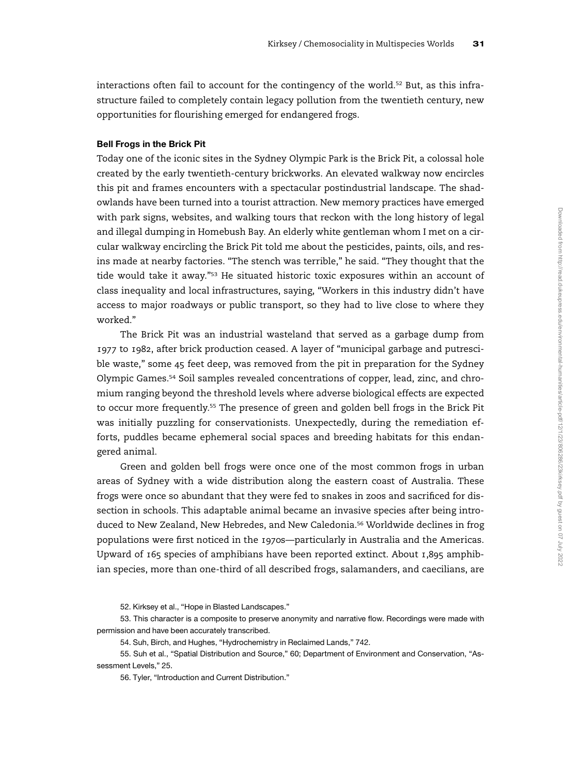interactions often fail to account for the contingency of the world.<sup>52</sup> But, as this infrastructure failed to completely contain legacy pollution from the twentieth century, new opportunities for flourishing emerged for endangered frogs.

# Bell Frogs in the Brick Pit

Today one of the iconic sites in the Sydney Olympic Park is the Brick Pit, a colossal hole created by the early twentieth-century brickworks. An elevated walkway now encircles this pit and frames encounters with a spectacular postindustrial landscape. The shadowlands have been turned into a tourist attraction. New memory practices have emerged with park signs, websites, and walking tours that reckon with the long history of legal and illegal dumping in Homebush Bay. An elderly white gentleman whom I met on a circular walkway encircling the Brick Pit told me about the pesticides, paints, oils, and resins made at nearby factories. "The stench was terrible," he said. "They thought that the tide would take it away."<sup>53</sup> He situated historic toxic exposures within an account of class inequality and local infrastructures, saying, "Workers in this industry didn't have access to major roadways or public transport, so they had to live close to where they worked."

The Brick Pit was an industrial wasteland that served as a garbage dump from 1977 to 1982, after brick production ceased. A layer of "municipal garbage and putrescible waste," some 45 feet deep, was removed from the pit in preparation for the Sydney Olympic Games.<sup>54</sup> Soil samples revealed concentrations of copper, lead, zinc, and chromium ranging beyond the threshold levels where adverse biological effects are expected to occur more frequently.<sup>55</sup> The presence of green and golden bell frogs in the Brick Pit was initially puzzling for conservationists. Unexpectedly, during the remediation efforts, puddles became ephemeral social spaces and breeding habitats for this endangered animal.

Green and golden bell frogs were once one of the most common frogs in urban areas of Sydney with a wide distribution along the eastern coast of Australia. These frogs were once so abundant that they were fed to snakes in zoos and sacrificed for dissection in schools. This adaptable animal became an invasive species after being introduced to New Zealand, New Hebredes, and New Caledonia.<sup>56</sup> Worldwide declines in frog populations were first noticed in the 1970s—particularly in Australia and the Americas. Upward of 165 species of amphibians have been reported extinct. About 1,895 amphibian species, more than one-third of all described frogs, salamanders, and caecilians, are

55. Suh et al., "Spatial Distribution and Source," 60; Department of Environment and Conservation, "Assessment Levels," 25.

56. Tyler, "Introduction and Current Distribution."

<sup>52.</sup> Kirksey et al., "Hope in Blasted Landscapes."

<sup>53.</sup> This character is a composite to preserve anonymity and narrative flow. Recordings were made with permission and have been accurately transcribed.

<sup>54.</sup> Suh, Birch, and Hughes, "Hydrochemistry in Reclaimed Lands," 742.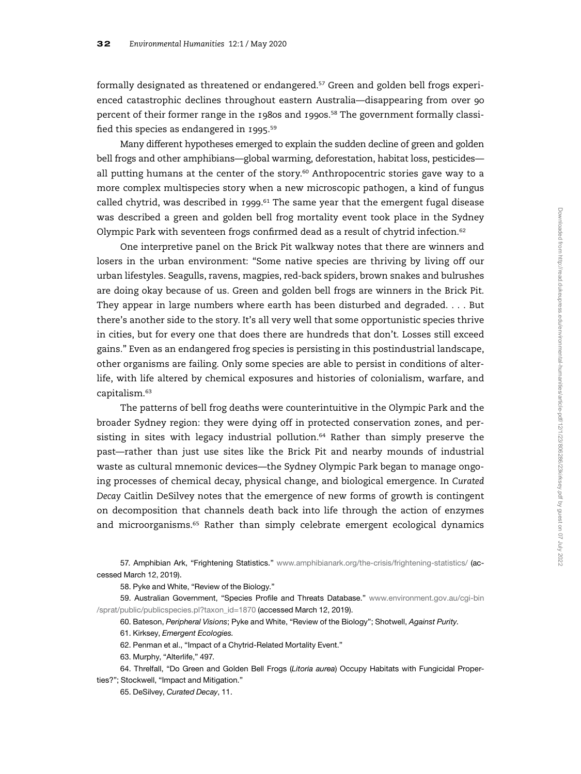formally designated as threatened or endangered.<sup>57</sup> Green and golden bell frogs experienced catastrophic declines throughout eastern Australia—disappearing from over 90 percent of their former range in the 1980s and 1990s.<sup>58</sup> The government formally classified this species as endangered in 1995.<sup>59</sup>

Many different hypotheses emerged to explain the sudden decline of green and golden bell frogs and other amphibians—global warming, deforestation, habitat loss, pesticides all putting humans at the center of the story. $60$  Anthropocentric stories gave way to a more complex multispecies story when a new microscopic pathogen, a kind of fungus called chytrid, was described in 1999.<sup>61</sup> The same year that the emergent fugal disease was described a green and golden bell frog mortality event took place in the Sydney Olympic Park with seventeen frogs confirmed dead as a result of chytrid infection.<sup>62</sup>

One interpretive panel on the Brick Pit walkway notes that there are winners and losers in the urban environment: "Some native species are thriving by living off our urban lifestyles. Seagulls, ravens, magpies, red-back spiders, brown snakes and bulrushes are doing okay because of us. Green and golden bell frogs are winners in the Brick Pit. They appear in large numbers where earth has been disturbed and degraded. . . . But there's another side to the story. It's all very well that some opportunistic species thrive in cities, but for every one that does there are hundreds that don't. Losses still exceed gains." Even as an endangered frog species is persisting in this postindustrial landscape, other organisms are failing. Only some species are able to persist in conditions of alterlife, with life altered by chemical exposures and histories of colonialism, warfare, and capitalism.<sup>63</sup>

The patterns of bell frog deaths were counterintuitive in the Olympic Park and the broader Sydney region: they were dying off in protected conservation zones, and persisting in sites with legacy industrial pollution.<sup>64</sup> Rather than simply preserve the past—rather than just use sites like the Brick Pit and nearby mounds of industrial waste as cultural mnemonic devices—the Sydney Olympic Park began to manage ongoing processes of chemical decay, physical change, and biological emergence. In Curated Decay Caitlin DeSilvey notes that the emergence of new forms of growth is contingent on decomposition that channels death back into life through the action of enzymes and microorganisms.<sup>65</sup> Rather than simply celebrate emergent ecological dynamics

57. Amphibian Ark, "Frightening Statistics." [www.amphibianark.org/the-crisis/frightening-statistics/](http://www.amphibianark.org/the-crisis/frightening-statistics/) (accessed March 12, 2019).

58. Pyke and White, "Review of the Biology."

59. Australian Government, "Species Profile and Threats Database." [www.environment.gov.au/cgi-bin](http://www.environment.gov.au/cgi-bin/sprat/public/publicspecies.pl?taxon_id=1870) [/sprat/public/publicspecies.pl?taxon\\_id=1870](http://www.environment.gov.au/cgi-bin/sprat/public/publicspecies.pl?taxon_id=1870) (accessed March 12, 2019).

60. Bateson, Peripheral Visions; Pyke and White, "Review of the Biology"; Shotwell, Against Purity.

61. Kirksey, Emergent Ecologies.

62. Penman et al., "Impact of a Chytrid-Related Mortality Event."

63. Murphy, "Alterlife," 497.

64. Threlfall, "Do Green and Golden Bell Frogs (Litoria aurea) Occupy Habitats with Fungicidal Properties?"; Stockwell, "Impact and Mitigation."

65. DeSilvey, Curated Decay, 11.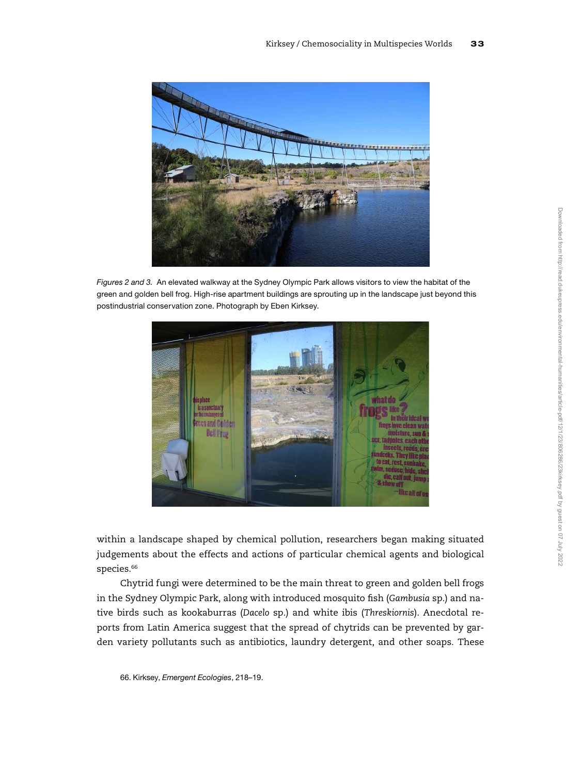

Figures 2 and 3. An elevated walkway at the Sydney Olympic Park allows visitors to view the habitat of the green and golden bell frog. High-rise apartment buildings are sprouting up in the landscape just beyond this postindustrial conservation zone. Photograph by Eben Kirksey.



within a landscape shaped by chemical pollution, researchers began making situated judgements about the effects and actions of particular chemical agents and biological species.<sup>66</sup>

Chytrid fungi were determined to be the main threat to green and golden bell frogs in the Sydney Olympic Park, along with introduced mosquito fish (Gambusia sp.) and native birds such as kookaburras (Dacelo sp.) and white ibis (Threskiornis). Anecdotal reports from Latin America suggest that the spread of chytrids can be prevented by garden variety pollutants such as antibiotics, laundry detergent, and other soaps. These

66. Kirksey, Emergent Ecologies, 218–19.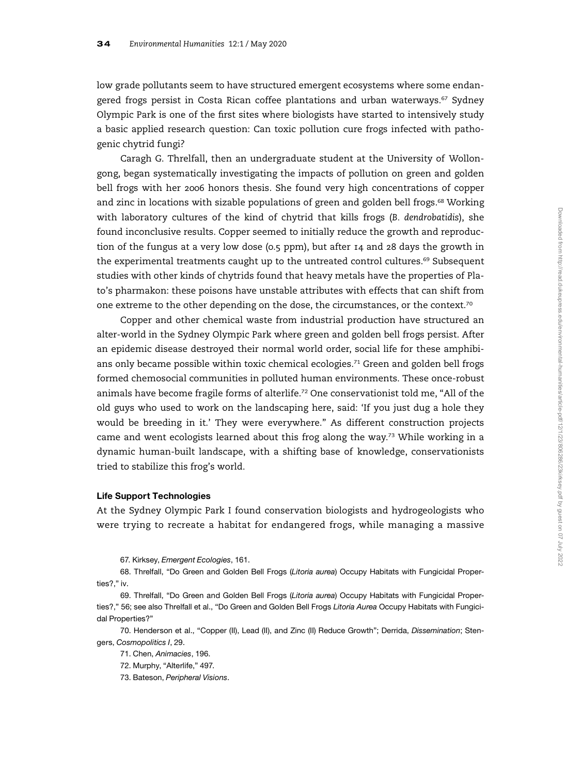low grade pollutants seem to have structured emergent ecosystems where some endangered frogs persist in Costa Rican coffee plantations and urban waterways.<sup>67</sup> Sydney Olympic Park is one of the first sites where biologists have started to intensively study a basic applied research question: Can toxic pollution cure frogs infected with pathogenic chytrid fungi?

Caragh G. Threlfall, then an undergraduate student at the University of Wollongong, began systematically investigating the impacts of pollution on green and golden bell frogs with her 2006 honors thesis. She found very high concentrations of copper and zinc in locations with sizable populations of green and golden bell frogs.<sup>68</sup> Working with laboratory cultures of the kind of chytrid that kills frogs (B. dendrobatidis), she found inconclusive results. Copper seemed to initially reduce the growth and reproduction of the fungus at a very low dose (0.5 ppm), but after 14 and 28 days the growth in the experimental treatments caught up to the untreated control cultures.<sup>69</sup> Subsequent studies with other kinds of chytrids found that heavy metals have the properties of Plato's pharmakon: these poisons have unstable attributes with effects that can shift from one extreme to the other depending on the dose, the circumstances, or the context.<sup>70</sup>

Copper and other chemical waste from industrial production have structured an alter-world in the Sydney Olympic Park where green and golden bell frogs persist. After an epidemic disease destroyed their normal world order, social life for these amphibians only became possible within toxic chemical ecologies.<sup>71</sup> Green and golden bell frogs formed chemosocial communities in polluted human environments. These once-robust animals have become fragile forms of alterlife.<sup>72</sup> One conservationist told me, "All of the old guys who used to work on the landscaping here, said: 'If you just dug a hole they would be breeding in it.' They were everywhere." As different construction projects came and went ecologists learned about this frog along the way.<sup>73</sup> While working in a dynamic human-built landscape, with a shifting base of knowledge, conservationists tried to stabilize this frog's world.

### Life Support Technologies

At the Sydney Olympic Park I found conservation biologists and hydrogeologists who were trying to recreate a habitat for endangered frogs, while managing a massive

67. Kirksey, Emergent Ecologies, 161.

68. Threlfall, "Do Green and Golden Bell Frogs (Litoria aurea) Occupy Habitats with Fungicidal Properties?," iv.

69. Threlfall, "Do Green and Golden Bell Frogs (Litoria aurea) Occupy Habitats with Fungicidal Properties?," 56; see also Threlfall et al., "Do Green and Golden Bell Frogs Litoria Aurea Occupy Habitats with Fungicidal Properties?"

70. Henderson et al., "Copper (II), Lead (II), and Zinc (II) Reduce Growth"; Derrida, Dissemination; Stengers, Cosmopolitics I, 29.

71. Chen, Animacies, 196.

72. Murphy, "Alterlife," 497.

73. Bateson, Peripheral Visions.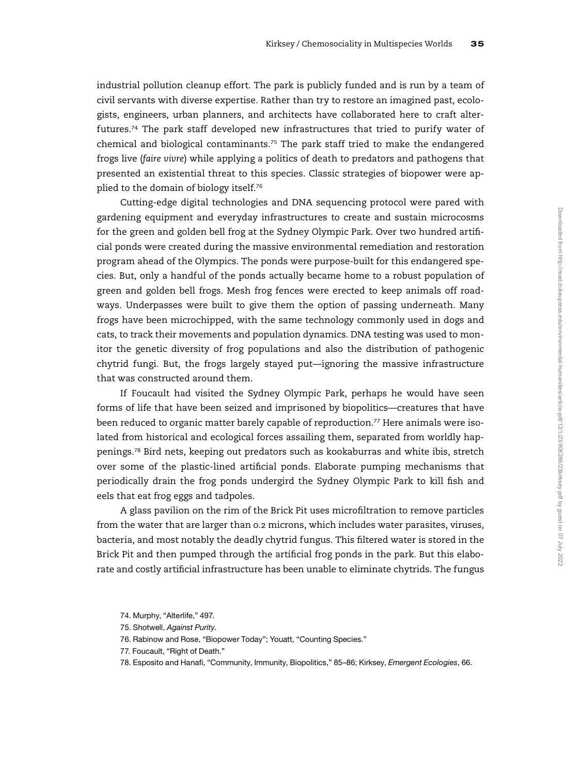industrial pollution cleanup effort. The park is publicly funded and is run by a team of civil servants with diverse expertise. Rather than try to restore an imagined past, ecologists, engineers, urban planners, and architects have collaborated here to craft alterfutures.<sup>74</sup> The park staff developed new infrastructures that tried to purify water of chemical and biological contaminants.<sup>75</sup> The park staff tried to make the endangered frogs live (faire vivre) while applying a politics of death to predators and pathogens that presented an existential threat to this species. Classic strategies of biopower were applied to the domain of biology itself.<sup>76</sup>

Cutting-edge digital technologies and DNA sequencing protocol were pared with gardening equipment and everyday infrastructures to create and sustain microcosms for the green and golden bell frog at the Sydney Olympic Park. Over two hundred artificial ponds were created during the massive environmental remediation and restoration program ahead of the Olympics. The ponds were purpose-built for this endangered species. But, only a handful of the ponds actually became home to a robust population of green and golden bell frogs. Mesh frog fences were erected to keep animals off roadways. Underpasses were built to give them the option of passing underneath. Many frogs have been microchipped, with the same technology commonly used in dogs and cats, to track their movements and population dynamics. DNA testing was used to monitor the genetic diversity of frog populations and also the distribution of pathogenic chytrid fungi. But, the frogs largely stayed put—ignoring the massive infrastructure that was constructed around them.

If Foucault had visited the Sydney Olympic Park, perhaps he would have seen forms of life that have been seized and imprisoned by biopolitics—creatures that have been reduced to organic matter barely capable of reproduction.<sup>77</sup> Here animals were isolated from historical and ecological forces assailing them, separated from worldly happenings.<sup>78</sup> Bird nets, keeping out predators such as kookaburras and white ibis, stretch over some of the plastic-lined artificial ponds. Elaborate pumping mechanisms that periodically drain the frog ponds undergird the Sydney Olympic Park to kill fish and eels that eat frog eggs and tadpoles.

A glass pavilion on the rim of the Brick Pit uses microfiltration to remove particles from the water that are larger than 0.2 microns, which includes water parasites, viruses, bacteria, and most notably the deadly chytrid fungus. This filtered water is stored in the Brick Pit and then pumped through the artificial frog ponds in the park. But this elaborate and costly artificial infrastructure has been unable to eliminate chytrids. The fungus

<sup>74.</sup> Murphy, "Alterlife," 497.

<sup>75.</sup> Shotwell, Against Purity.

<sup>76.</sup> Rabinow and Rose, "Biopower Today"; Youatt, "Counting Species."

<sup>77.</sup> Foucault, "Right of Death."

<sup>78.</sup> Esposito and Hanafi, "Community, Immunity, Biopolitics," 85-86; Kirksey, Emergent Ecologies, 66.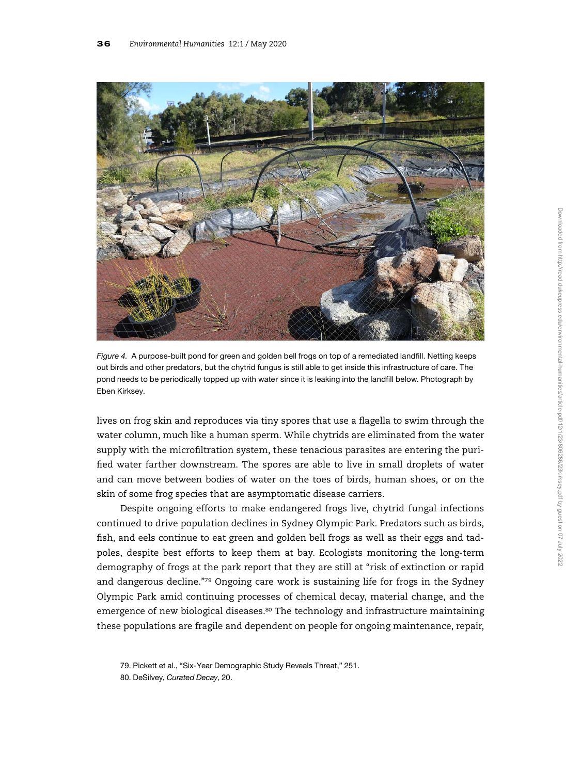

Figure 4. A purpose-built pond for green and golden bell frogs on top of a remediated landfill. Netting keeps out birds and other predators, but the chytrid fungus is still able to get inside this infrastructure of care. The pond needs to be periodically topped up with water since it is leaking into the landfill below. Photograph by Eben Kirksey.

lives on frog skin and reproduces via tiny spores that use a flagella to swim through the water column, much like a human sperm. While chytrids are eliminated from the water supply with the microfiltration system, these tenacious parasites are entering the purified water farther downstream. The spores are able to live in small droplets of water and can move between bodies of water on the toes of birds, human shoes, or on the skin of some frog species that are asymptomatic disease carriers.

Despite ongoing efforts to make endangered frogs live, chytrid fungal infections continued to drive population declines in Sydney Olympic Park. Predators such as birds, fish, and eels continue to eat green and golden bell frogs as well as their eggs and tadpoles, despite best efforts to keep them at bay. Ecologists monitoring the long-term demography of frogs at the park report that they are still at "risk of extinction or rapid and dangerous decline."<sup>79</sup> Ongoing care work is sustaining life for frogs in the Sydney Olympic Park amid continuing processes of chemical decay, material change, and the emergence of new biological diseases. $80$  The technology and infrastructure maintaining these populations are fragile and dependent on people for ongoing maintenance, repair,

80. DeSilvey, Curated Decay, 20.

<sup>79.</sup> Pickett et al., "Six-Year Demographic Study Reveals Threat," 251.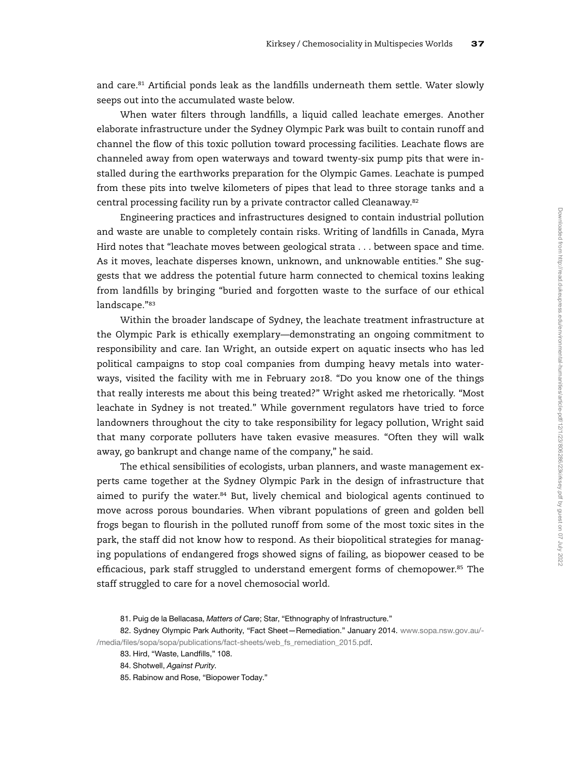and care.<sup>81</sup> Artificial ponds leak as the landfills underneath them settle. Water slowly seeps out into the accumulated waste below.

When water filters through landfills, a liquid called leachate emerges. Another elaborate infrastructure under the Sydney Olympic Park was built to contain runoff and channel the flow of this toxic pollution toward processing facilities. Leachate flows are channeled away from open waterways and toward twenty-six pump pits that were installed during the earthworks preparation for the Olympic Games. Leachate is pumped from these pits into twelve kilometers of pipes that lead to three storage tanks and a central processing facility run by a private contractor called Cleanaway.<sup>82</sup>

Engineering practices and infrastructures designed to contain industrial pollution and waste are unable to completely contain risks. Writing of landfills in Canada, Myra Hird notes that "leachate moves between geological strata . . . between space and time. As it moves, leachate disperses known, unknown, and unknowable entities." She suggests that we address the potential future harm connected to chemical toxins leaking from landfills by bringing "buried and forgotten waste to the surface of our ethical landscape."<sup>83</sup>

Within the broader landscape of Sydney, the leachate treatment infrastructure at the Olympic Park is ethically exemplary—demonstrating an ongoing commitment to responsibility and care. Ian Wright, an outside expert on aquatic insects who has led political campaigns to stop coal companies from dumping heavy metals into waterways, visited the facility with me in February 2018. "Do you know one of the things that really interests me about this being treated?" Wright asked me rhetorically. "Most leachate in Sydney is not treated." While government regulators have tried to force landowners throughout the city to take responsibility for legacy pollution, Wright said that many corporate polluters have taken evasive measures. "Often they will walk away, go bankrupt and change name of the company," he said.

The ethical sensibilities of ecologists, urban planners, and waste management experts came together at the Sydney Olympic Park in the design of infrastructure that aimed to purify the water. $84$  But, lively chemical and biological agents continued to move across porous boundaries. When vibrant populations of green and golden bell frogs began to flourish in the polluted runoff from some of the most toxic sites in the park, the staff did not know how to respond. As their biopolitical strategies for managing populations of endangered frogs showed signs of failing, as biopower ceased to be efficacious, park staff struggled to understand emergent forms of chemopower.<sup>85</sup> The staff struggled to care for a novel chemosocial world.

<sup>81.</sup> Puig de la Bellacasa, Matters of Care; Star, "Ethnography of Infrastructure."

<sup>82.</sup> Sydney Olympic Park Authority, "Fact Sheet-Remediation." January 2014. [www.sopa.nsw.gov.au/-](http://www.sopa.nsw.gov.au/-/media/files/sopa/sopa/publications/fact-sheets/web_fs_remediation_2015.pdf) /media/fi[les/sopa/sopa/publications/fact-sheets/web\\_fs\\_remediation\\_2015.pdf.](http://www.sopa.nsw.gov.au/-/media/files/sopa/sopa/publications/fact-sheets/web_fs_remediation_2015.pdf)

<sup>83.</sup> Hird, "Waste, Landfills," 108.

<sup>84.</sup> Shotwell, Against Purity.

<sup>85.</sup> Rabinow and Rose, "Biopower Today."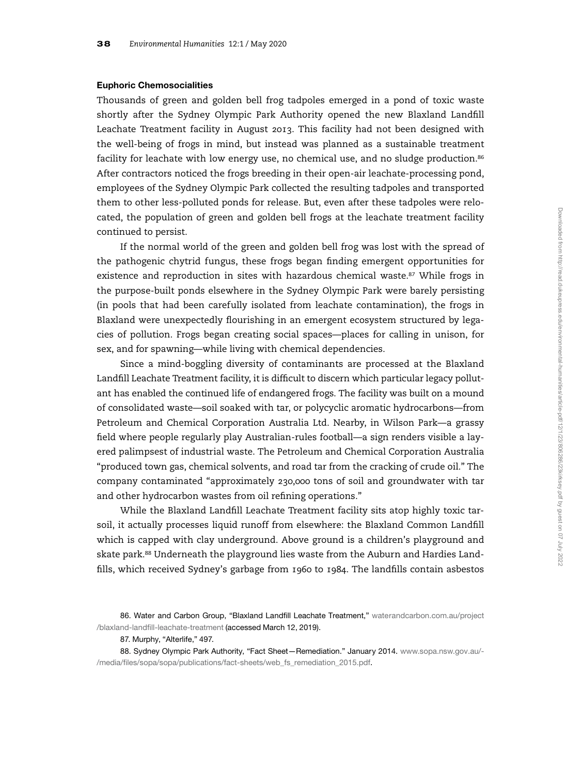# Euphoric Chemosocialities

Thousands of green and golden bell frog tadpoles emerged in a pond of toxic waste shortly after the Sydney Olympic Park Authority opened the new Blaxland Landfill Leachate Treatment facility in August 2013. This facility had not been designed with the well-being of frogs in mind, but instead was planned as a sustainable treatment facility for leachate with low energy use, no chemical use, and no sludge production.<sup>86</sup> After contractors noticed the frogs breeding in their open-air leachate-processing pond, employees of the Sydney Olympic Park collected the resulting tadpoles and transported them to other less-polluted ponds for release. But, even after these tadpoles were relocated, the population of green and golden bell frogs at the leachate treatment facility continued to persist.

If the normal world of the green and golden bell frog was lost with the spread of the pathogenic chytrid fungus, these frogs began finding emergent opportunities for existence and reproduction in sites with hazardous chemical waste.<sup>87</sup> While frogs in the purpose-built ponds elsewhere in the Sydney Olympic Park were barely persisting (in pools that had been carefully isolated from leachate contamination), the frogs in Blaxland were unexpectedly flourishing in an emergent ecosystem structured by legacies of pollution. Frogs began creating social spaces—places for calling in unison, for sex, and for spawning—while living with chemical dependencies.

Since a mind-boggling diversity of contaminants are processed at the Blaxland Landfill Leachate Treatment facility, it is difficult to discern which particular legacy pollutant has enabled the continued life of endangered frogs. The facility was built on a mound of consolidated waste—soil soaked with tar, or polycyclic aromatic hydrocarbons—from Petroleum and Chemical Corporation Australia Ltd. Nearby, in Wilson Park—a grassy field where people regularly play Australian-rules football—a sign renders visible a layered palimpsest of industrial waste. The Petroleum and Chemical Corporation Australia "produced town gas, chemical solvents, and road tar from the cracking of crude oil." The company contaminated "approximately 230,000 tons of soil and groundwater with tar and other hydrocarbon wastes from oil refining operations."

While the Blaxland Landfill Leachate Treatment facility sits atop highly toxic tarsoil, it actually processes liquid runoff from elsewhere: the Blaxland Common Landfill which is capped with clay underground. Above ground is a children's playground and skate park.<sup>88</sup> Underneath the playground lies waste from the Auburn and Hardies Landfills, which received Sydney's garbage from 1960 to 1984. The landfills contain asbestos

<sup>86.</sup> Water and Carbon Group, "Blaxland Landfill Leachate Treatment," [waterandcarbon.com.au/project](http://waterandcarbon.com.au/project/blaxland-landfill-leachate-treatment) /blaxland-landfi[ll-leachate-treatment](http://waterandcarbon.com.au/project/blaxland-landfill-leachate-treatment) (accessed March 12, 2019).

<sup>87.</sup> Murphy, "Alterlife," 497.

<sup>88.</sup> Sydney Olympic Park Authority, "Fact Sheet-Remediation." January 2014. [www.sopa.nsw.gov.au/-](http://www.sopa.nsw.gov.au/-/media/files/sopa/sopa/publications/fact-sheets/web_fs_remediation_2015.pdf) /media/fi[les/sopa/sopa/publications/fact-sheets/web\\_fs\\_remediation\\_2015.pdf.](http://www.sopa.nsw.gov.au/-/media/files/sopa/sopa/publications/fact-sheets/web_fs_remediation_2015.pdf)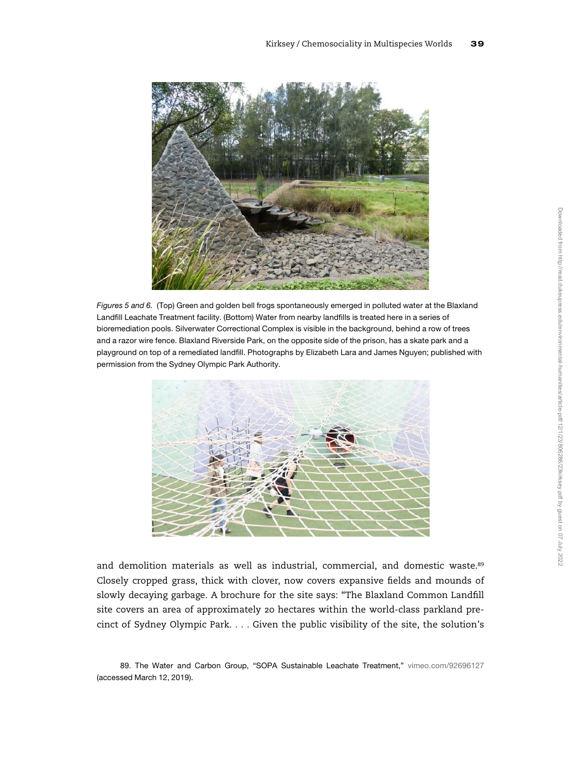

Figures 5 and 6. (Top) Green and golden bell frogs spontaneously emerged in polluted water at the Blaxland Landfill Leachate Treatment facility. (Bottom) Water from nearby landfills is treated here in a series of bioremediation pools. Silverwater Correctional Complex is visible in the background, behind a row of trees and a razor wire fence. Blaxland Riverside Park, on the opposite side of the prison, has a skate park and a playground on top of a remediated landfill. Photographs by Elizabeth Lara and James Nguyen; published with permission from the Sydney Olympic Park Authority.



and demolition materials as well as industrial, commercial, and domestic waste.<sup>89</sup> Closely cropped grass, thick with clover, now covers expansive fields and mounds of slowly decaying garbage. A brochure for the site says: "The Blaxland Common Landfill site covers an area of approximately 20 hectares within the world-class parkland precinct of Sydney Olympic Park. . . . Given the public visibility of the site, the solution's

<sup>89.</sup> The Water and Carbon Group, "SOPA Sustainable Leachate Treatment," [vimeo.com/92696127](http://vimeo.com/92696127) (accessed March 12, 2019).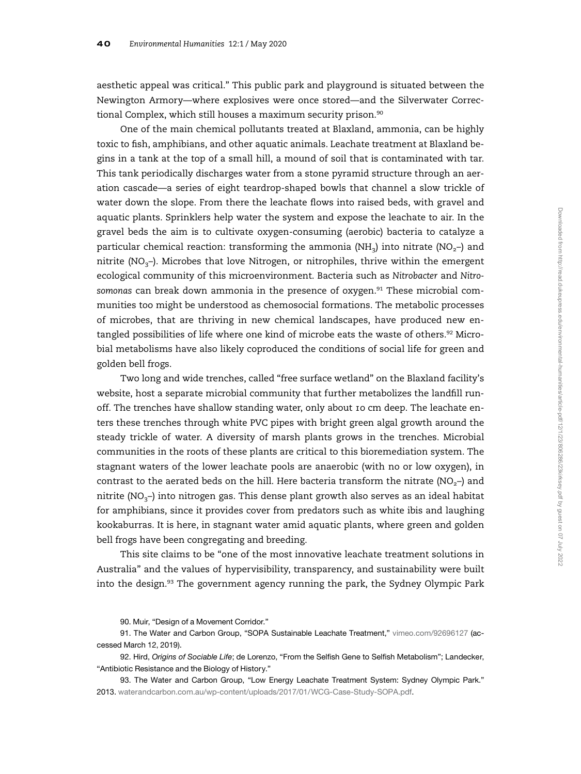aesthetic appeal was critical." This public park and playground is situated between the Newington Armory—where explosives were once stored—and the Silverwater Correctional Complex, which still houses a maximum security prison.<sup>90</sup>

One of the main chemical pollutants treated at Blaxland, ammonia, can be highly toxic to fish, amphibians, and other aquatic animals. Leachate treatment at Blaxland begins in a tank at the top of a small hill, a mound of soil that is contaminated with tar. This tank periodically discharges water from a stone pyramid structure through an aeration cascade—a series of eight teardrop-shaped bowls that channel a slow trickle of water down the slope. From there the leachate flows into raised beds, with gravel and aquatic plants. Sprinklers help water the system and expose the leachate to air. In the gravel beds the aim is to cultivate oxygen-consuming (aerobic) bacteria to catalyze a particular chemical reaction: transforming the ammonia (NH<sub>3</sub>) into nitrate (NO<sub>2</sub>–) and nitrite ( $NO<sub>3</sub>$ –). Microbes that love Nitrogen, or nitrophiles, thrive within the emergent ecological community of this microenvironment. Bacteria such as Nitrobacter and Nitrosomonas can break down ammonia in the presence of oxygen.<sup>91</sup> These microbial communities too might be understood as chemosocial formations. The metabolic processes of microbes, that are thriving in new chemical landscapes, have produced new entangled possibilities of life where one kind of microbe eats the waste of others.<sup>92</sup> Microbial metabolisms have also likely coproduced the conditions of social life for green and golden bell frogs.

Two long and wide trenches, called "free surface wetland" on the Blaxland facility's website, host a separate microbial community that further metabolizes the landfill runoff. The trenches have shallow standing water, only about 10 cm deep. The leachate enters these trenches through white PVC pipes with bright green algal growth around the steady trickle of water. A diversity of marsh plants grows in the trenches. Microbial communities in the roots of these plants are critical to this bioremediation system. The stagnant waters of the lower leachate pools are anaerobic (with no or low oxygen), in contrast to the aerated beds on the hill. Here bacteria transform the nitrate ( $NO<sub>2</sub>$ –) and nitrite (NO<sub>3</sub>–) into nitrogen gas. This dense plant growth also serves as an ideal habitat for amphibians, since it provides cover from predators such as white ibis and laughing kookaburras. It is here, in stagnant water amid aquatic plants, where green and golden bell frogs have been congregating and breeding.

This site claims to be "one of the most innovative leachate treatment solutions in Australia" and the values of hypervisibility, transparency, and sustainability were built into the design.<sup>93</sup> The government agency running the park, the Sydney Olympic Park

<sup>90.</sup> Muir, "Design of a Movement Corridor."

<sup>91.</sup> The Water and Carbon Group, "SOPA Sustainable Leachate Treatment," [vimeo.com/92696127](http://vimeo.com/92696127) (accessed March 12, 2019).

<sup>92.</sup> Hird, Origins of Sociable Life; de Lorenzo, "From the Selfish Gene to Selfish Metabolism"; Landecker, "Antibiotic Resistance and the Biology of History."

<sup>93.</sup> The Water and Carbon Group, "Low Energy Leachate Treatment System: Sydney Olympic Park." 2013. [waterandcarbon.com.au/wp-content/uploads/2017/01/WCG-Case-Study-SOPA.pdf](http://waterandcarbon.com.au/wp-content/uploads/2017/01/WCG-Case-Study-SOPA.pdf).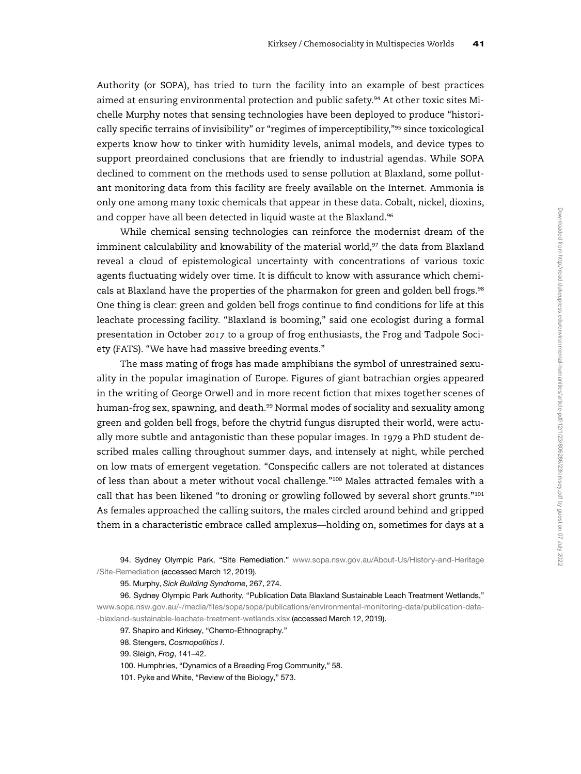Authority (or SOPA), has tried to turn the facility into an example of best practices aimed at ensuring environmental protection and public safety.<sup>94</sup> At other toxic sites Michelle Murphy notes that sensing technologies have been deployed to produce "historically specific terrains of invisibility" or "regimes of imperceptibility,"<sup>95</sup> since toxicological experts know how to tinker with humidity levels, animal models, and device types to support preordained conclusions that are friendly to industrial agendas. While SOPA declined to comment on the methods used to sense pollution at Blaxland, some pollutant monitoring data from this facility are freely available on the Internet. Ammonia is only one among many toxic chemicals that appear in these data. Cobalt, nickel, dioxins, and copper have all been detected in liquid waste at the Blaxland.<sup>96</sup>

While chemical sensing technologies can reinforce the modernist dream of the imminent calculability and knowability of the material world,<sup>97</sup> the data from Blaxland reveal a cloud of epistemological uncertainty with concentrations of various toxic agents fluctuating widely over time. It is difficult to know with assurance which chemicals at Blaxland have the properties of the pharmakon for green and golden bell frogs.<sup>98</sup> One thing is clear: green and golden bell frogs continue to find conditions for life at this leachate processing facility. "Blaxland is booming," said one ecologist during a formal presentation in October 2017 to a group of frog enthusiasts, the Frog and Tadpole Society (FATS). "We have had massive breeding events."

The mass mating of frogs has made amphibians the symbol of unrestrained sexuality in the popular imagination of Europe. Figures of giant batrachian orgies appeared in the writing of George Orwell and in more recent fiction that mixes together scenes of human-frog sex, spawning, and death.<sup>99</sup> Normal modes of sociality and sexuality among green and golden bell frogs, before the chytrid fungus disrupted their world, were actually more subtle and antagonistic than these popular images. In 1979 a PhD student described males calling throughout summer days, and intensely at night, while perched on low mats of emergent vegetation. "Conspecific callers are not tolerated at distances of less than about a meter without vocal challenge."<sup>100</sup> Males attracted females with a call that has been likened "to droning or growling followed by several short grunts."<sup>101</sup> As females approached the calling suitors, the males circled around behind and gripped them in a characteristic embrace called amplexus—holding on, sometimes for days at a

94. Sydney Olympic Park, "Site Remediation." [www.sopa.nsw.gov.au/About-Us/History-and-Heritage](http://www.sopa.nsw.gov.au/About-Us/History-and-Heritage/Site-Remediation) [/Site-Remediation](http://www.sopa.nsw.gov.au/About-Us/History-and-Heritage/Site-Remediation) (accessed March 12, 2019).

95. Murphy, Sick Building Syndrome, 267, 274.

96. Sydney Olympic Park Authority, "Publication Data Blaxland Sustainable Leach Treatment Wetlands," www.sopa.nsw.gov.au/-/media/fi[les/sopa/sopa/publications/environmental-monitoring-data/publication-data-](http://www.sopa.nsw.gov.au/-/media/files/sopa/sopa/publications/environmental-monitoring-data/publication-data--blaxland-sustainable-leachate-treatment-wetlands.xlsx) [-blaxland-sustainable-leachate-treatment-wetlands.xlsx](http://www.sopa.nsw.gov.au/-/media/files/sopa/sopa/publications/environmental-monitoring-data/publication-data--blaxland-sustainable-leachate-treatment-wetlands.xlsx) (accessed March 12, 2019).

97. Shapiro and Kirksey, "Chemo-Ethnography."

98. Stengers, Cosmopolitics I.

99. Sleigh, Frog, 141–42.

100. Humphries, "Dynamics of a Breeding Frog Community," 58.

101. Pyke and White, "Review of the Biology," 573.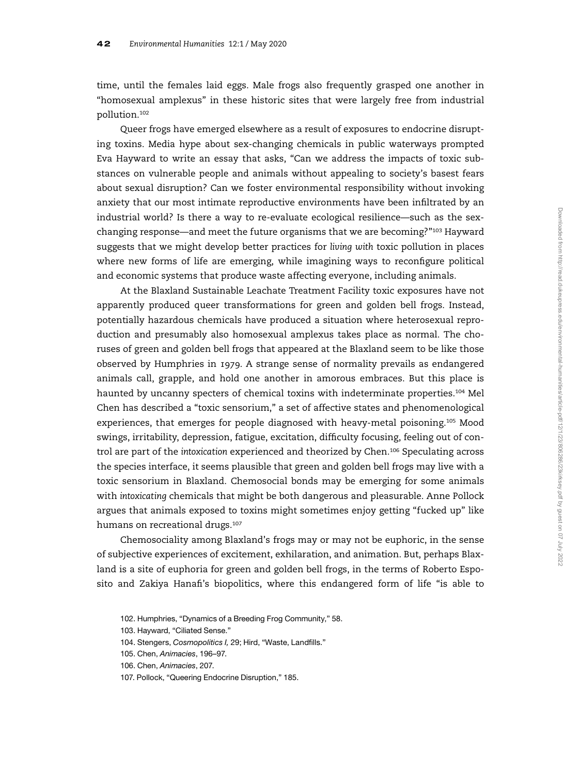time, until the females laid eggs. Male frogs also frequently grasped one another in "homosexual amplexus" in these historic sites that were largely free from industrial pollution.<sup>102</sup>

Queer frogs have emerged elsewhere as a result of exposures to endocrine disrupting toxins. Media hype about sex-changing chemicals in public waterways prompted Eva Hayward to write an essay that asks, "Can we address the impacts of toxic substances on vulnerable people and animals without appealing to society's basest fears about sexual disruption? Can we foster environmental responsibility without invoking anxiety that our most intimate reproductive environments have been infiltrated by an industrial world? Is there a way to re-evaluate ecological resilience—such as the sexchanging response—and meet the future organisms that we are becoming?"<sup>103</sup> Hayward suggests that we might develop better practices for living with toxic pollution in places where new forms of life are emerging, while imagining ways to reconfigure political and economic systems that produce waste affecting everyone, including animals.

At the Blaxland Sustainable Leachate Treatment Facility toxic exposures have not apparently produced queer transformations for green and golden bell frogs. Instead, potentially hazardous chemicals have produced a situation where heterosexual reproduction and presumably also homosexual amplexus takes place as normal. The choruses of green and golden bell frogs that appeared at the Blaxland seem to be like those observed by Humphries in 1979. A strange sense of normality prevails as endangered animals call, grapple, and hold one another in amorous embraces. But this place is haunted by uncanny specters of chemical toxins with indeterminate properties.<sup>104</sup> Mel Chen has described a "toxic sensorium," a set of affective states and phenomenological experiences, that emerges for people diagnosed with heavy-metal poisoning.<sup>105</sup> Mood swings, irritability, depression, fatigue, excitation, difficulty focusing, feeling out of control are part of the intoxication experienced and theorized by Chen.<sup>106</sup> Speculating across the species interface, it seems plausible that green and golden bell frogs may live with a toxic sensorium in Blaxland. Chemosocial bonds may be emerging for some animals with intoxicating chemicals that might be both dangerous and pleasurable. Anne Pollock argues that animals exposed to toxins might sometimes enjoy getting "fucked up" like humans on recreational drugs.<sup>107</sup>

Chemosociality among Blaxland's frogs may or may not be euphoric, in the sense of subjective experiences of excitement, exhilaration, and animation. But, perhaps Blaxland is a site of euphoria for green and golden bell frogs, in the terms of Roberto Esposito and Zakiya Hanafi's biopolitics, where this endangered form of life "is able to

<sup>102.</sup> Humphries, "Dynamics of a Breeding Frog Community," 58.

<sup>103.</sup> Hayward, "Ciliated Sense."

<sup>104.</sup> Stengers, Cosmopolitics I, 29; Hird, "Waste, Landfills."

<sup>105.</sup> Chen, Animacies, 196–97.

<sup>106.</sup> Chen, Animacies, 207.

<sup>107.</sup> Pollock, "Queering Endocrine Disruption," 185.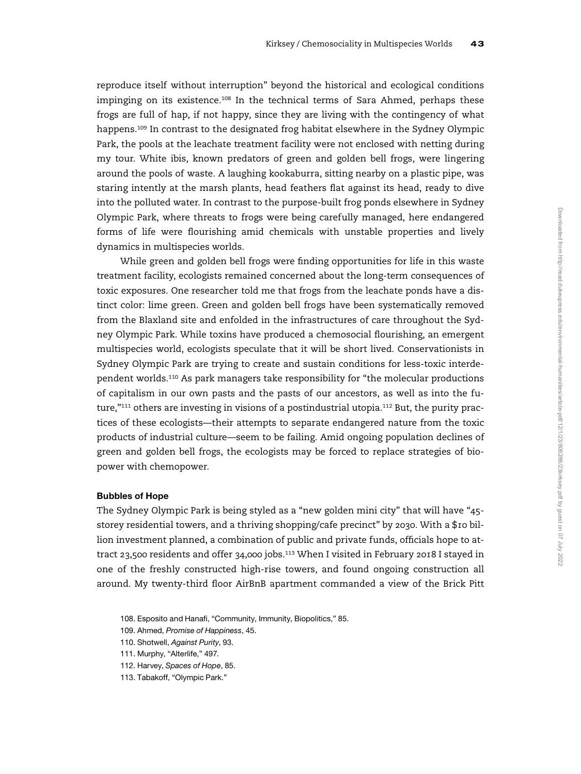reproduce itself without interruption" beyond the historical and ecological conditions impinging on its existence.<sup>108</sup> In the technical terms of Sara Ahmed, perhaps these frogs are full of hap, if not happy, since they are living with the contingency of what happens.<sup>109</sup> In contrast to the designated frog habitat elsewhere in the Sydney Olympic Park, the pools at the leachate treatment facility were not enclosed with netting during my tour. White ibis, known predators of green and golden bell frogs, were lingering around the pools of waste. A laughing kookaburra, sitting nearby on a plastic pipe, was staring intently at the marsh plants, head feathers flat against its head, ready to dive into the polluted water. In contrast to the purpose-built frog ponds elsewhere in Sydney Olympic Park, where threats to frogs were being carefully managed, here endangered forms of life were flourishing amid chemicals with unstable properties and lively dynamics in multispecies worlds.

While green and golden bell frogs were finding opportunities for life in this waste treatment facility, ecologists remained concerned about the long-term consequences of toxic exposures. One researcher told me that frogs from the leachate ponds have a distinct color: lime green. Green and golden bell frogs have been systematically removed from the Blaxland site and enfolded in the infrastructures of care throughout the Sydney Olympic Park. While toxins have produced a chemosocial flourishing, an emergent multispecies world, ecologists speculate that it will be short lived. Conservationists in Sydney Olympic Park are trying to create and sustain conditions for less-toxic interdependent worlds.<sup>110</sup> As park managers take responsibility for "the molecular productions of capitalism in our own pasts and the pasts of our ancestors, as well as into the future,"<sup>111</sup> others are investing in visions of a postindustrial utopia.<sup>112</sup> But, the purity practices of these ecologists—their attempts to separate endangered nature from the toxic products of industrial culture—seem to be failing. Amid ongoing population declines of green and golden bell frogs, the ecologists may be forced to replace strategies of biopower with chemopower.

# Bubbles of Hope

The Sydney Olympic Park is being styled as a "new golden mini city" that will have "45 storey residential towers, and a thriving shopping/cafe precinct" by 2030. With a \$10 billion investment planned, a combination of public and private funds, officials hope to attract 23,500 residents and offer 34,000 jobs.<sup>113</sup> When I visited in February 2018 I stayed in one of the freshly constructed high-rise towers, and found ongoing construction all around. My twenty-third floor AirBnB apartment commanded a view of the Brick Pitt

- 108. Esposito and Hanafi, "Community, Immunity, Biopolitics," 85.
- 109. Ahmed, Promise of Happiness, 45.
- 110. Shotwell, Against Purity, 93.
- 111. Murphy, "Alterlife," 497.
- 112. Harvey, Spaces of Hope, 85.
- 113. Tabakoff, "Olympic Park."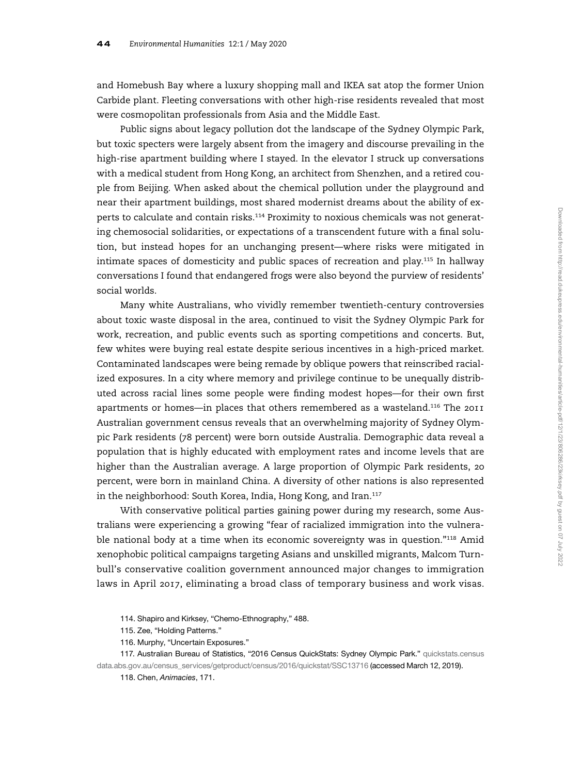and Homebush Bay where a luxury shopping mall and IKEA sat atop the former Union Carbide plant. Fleeting conversations with other high-rise residents revealed that most were cosmopolitan professionals from Asia and the Middle East.

Public signs about legacy pollution dot the landscape of the Sydney Olympic Park, but toxic specters were largely absent from the imagery and discourse prevailing in the high-rise apartment building where I stayed. In the elevator I struck up conversations with a medical student from Hong Kong, an architect from Shenzhen, and a retired couple from Beijing. When asked about the chemical pollution under the playground and near their apartment buildings, most shared modernist dreams about the ability of experts to calculate and contain risks.<sup>114</sup> Proximity to noxious chemicals was not generating chemosocial solidarities, or expectations of a transcendent future with a final solution, but instead hopes for an unchanging present—where risks were mitigated in intimate spaces of domesticity and public spaces of recreation and play.<sup>115</sup> In hallway conversations I found that endangered frogs were also beyond the purview of residents' social worlds.

Many white Australians, who vividly remember twentieth-century controversies about toxic waste disposal in the area, continued to visit the Sydney Olympic Park for work, recreation, and public events such as sporting competitions and concerts. But, few whites were buying real estate despite serious incentives in a high-priced market. Contaminated landscapes were being remade by oblique powers that reinscribed racialized exposures. In a city where memory and privilege continue to be unequally distributed across racial lines some people were finding modest hopes—for their own first apartments or homes—in places that others remembered as a wasteland.<sup>116</sup> The 2011 Australian government census reveals that an overwhelming majority of Sydney Olympic Park residents (78 percent) were born outside Australia. Demographic data reveal a population that is highly educated with employment rates and income levels that are higher than the Australian average. A large proportion of Olympic Park residents, 20 percent, were born in mainland China. A diversity of other nations is also represented in the neighborhood: South Korea, India, Hong Kong, and Iran.<sup>117</sup>

With conservative political parties gaining power during my research, some Australians were experiencing a growing "fear of racialized immigration into the vulnerable national body at a time when its economic sovereignty was in question."<sup>118</sup> Amid xenophobic political campaigns targeting Asians and unskilled migrants, Malcom Turnbull's conservative coalition government announced major changes to immigration laws in April 2017, eliminating a broad class of temporary business and work visas.

117. Australian Bureau of Statistics, "2016 Census QuickStats: Sydney Olympic Park." [quickstats.census](http://quickstats.censusdata.abs.gov.au/census_services/getproduct/census/2016/quickstat/SSC13716) [data.abs.gov.au/census\\_services/getproduct/census/2016/quickstat/SSC13716](http://quickstats.censusdata.abs.gov.au/census_services/getproduct/census/2016/quickstat/SSC13716) (accessed March 12, 2019).

<sup>114.</sup> Shapiro and Kirksey, "Chemo-Ethnography," 488.

<sup>115.</sup> Zee, "Holding Patterns."

<sup>116.</sup> Murphy, "Uncertain Exposures."

<sup>118.</sup> Chen, Animacies, 171.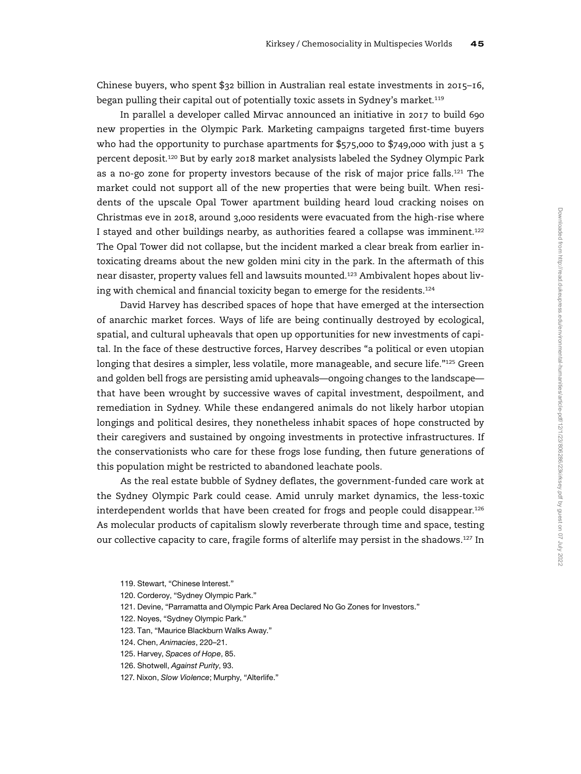Chinese buyers, who spent \$32 billion in Australian real estate investments in 2015–16, began pulling their capital out of potentially toxic assets in Sydney's market.<sup>119</sup>

In parallel a developer called Mirvac announced an initiative in 2017 to build 690 new properties in the Olympic Park. Marketing campaigns targeted first-time buyers who had the opportunity to purchase apartments for \$575,000 to \$749,000 with just a 5 percent deposit.<sup>120</sup> But by early 2018 market analysists labeled the Sydney Olympic Park as a no-go zone for property investors because of the risk of major price falls.<sup>121</sup> The market could not support all of the new properties that were being built. When residents of the upscale Opal Tower apartment building heard loud cracking noises on Christmas eve in 2018, around 3,000 residents were evacuated from the high-rise where I stayed and other buildings nearby, as authorities feared a collapse was imminent.<sup>122</sup> The Opal Tower did not collapse, but the incident marked a clear break from earlier intoxicating dreams about the new golden mini city in the park. In the aftermath of this near disaster, property values fell and lawsuits mounted.<sup>123</sup> Ambivalent hopes about living with chemical and financial toxicity began to emerge for the residents.<sup>124</sup>

David Harvey has described spaces of hope that have emerged at the intersection of anarchic market forces. Ways of life are being continually destroyed by ecological, spatial, and cultural upheavals that open up opportunities for new investments of capital. In the face of these destructive forces, Harvey describes "a political or even utopian longing that desires a simpler, less volatile, more manageable, and secure life."<sup>125</sup> Green and golden bell frogs are persisting amid upheavals—ongoing changes to the landscape that have been wrought by successive waves of capital investment, despoilment, and remediation in Sydney. While these endangered animals do not likely harbor utopian longings and political desires, they nonetheless inhabit spaces of hope constructed by their caregivers and sustained by ongoing investments in protective infrastructures. If the conservationists who care for these frogs lose funding, then future generations of this population might be restricted to abandoned leachate pools.

As the real estate bubble of Sydney deflates, the government-funded care work at the Sydney Olympic Park could cease. Amid unruly market dynamics, the less-toxic interdependent worlds that have been created for frogs and people could disappear.<sup>126</sup> As molecular products of capitalism slowly reverberate through time and space, testing our collective capacity to care, fragile forms of alterlife may persist in the shadows.<sup>127</sup> In

119. Stewart, "Chinese Interest."

- 120. Corderoy, "Sydney Olympic Park."
- 121. Devine, "Parramatta and Olympic Park Area Declared No Go Zones for Investors."
- 122. Noyes, "Sydney Olympic Park."
- 123. Tan, "Maurice Blackburn Walks Away."
- 124. Chen, Animacies, 220–21.
- 125. Harvey, Spaces of Hope, 85.
- 126. Shotwell, Against Purity, 93.
- 127. Nixon, Slow Violence; Murphy, "Alterlife."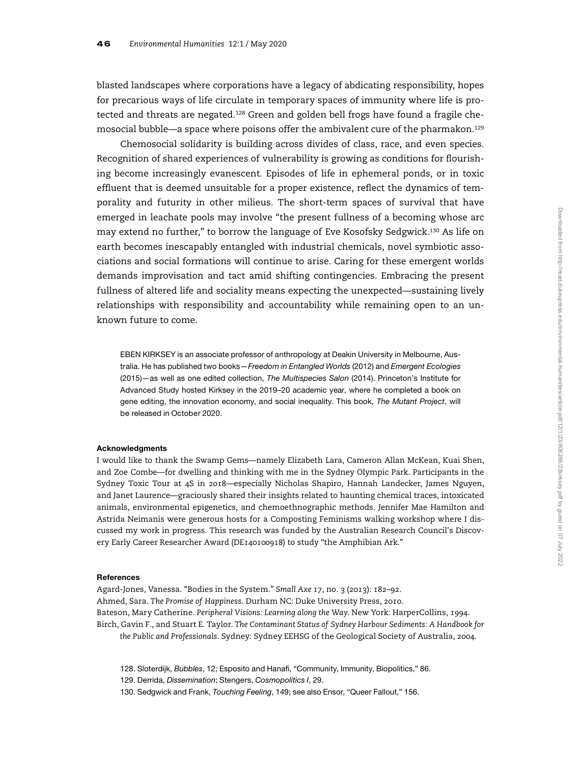blasted landscapes where corporations have a legacy of abdicating responsibility, hopes for precarious ways of life circulate in temporary spaces of immunity where life is protected and threats are negated.<sup>128</sup> Green and golden bell frogs have found a fragile chemosocial bubble—a space where poisons offer the ambivalent cure of the pharmakon.<sup>129</sup>

Chemosocial solidarity is building across divides of class, race, and even species. Recognition of shared experiences of vulnerability is growing as conditions for flourishing become increasingly evanescent. Episodes of life in ephemeral ponds, or in toxic effluent that is deemed unsuitable for a proper existence, reflect the dynamics of temporality and futurity in other milieus. The short-term spaces of survival that have emerged in leachate pools may involve "the present fullness of a becoming whose arc may extend no further," to borrow the language of Eve Kosofsky Sedgwick.<sup>130</sup> As life on earth becomes inescapably entangled with industrial chemicals, novel symbiotic associations and social formations will continue to arise. Caring for these emergent worlds demands improvisation and tact amid shifting contingencies. Embracing the present fullness of altered life and sociality means expecting the unexpected—sustaining lively relationships with responsibility and accountability while remaining open to an unknown future to come.

EBEN KIRKSEY is an associate professor of anthropology at Deakin University in Melbourne, Australia. He has published two books-Freedom in Entangled Worlds (2012) and Emergent Ecologies (2015)—as well as one edited collection, The Multispecies Salon (2014). Princeton's Institute for Advanced Study hosted Kirksey in the 2019–20 academic year, where he completed a book on gene editing, the innovation economy, and social inequality. This book, The Mutant Project, will be released in October 2020.

#### Acknowledgments

I would like to thank the Swamp Gems—namely Elizabeth Lara, Cameron Allan McKean, Kuai Shen, and Zoe Combe—for dwelling and thinking with me in the Sydney Olympic Park. Participants in the Sydney Toxic Tour at 4S in 2018—especially Nicholas Shapiro, Hannah Landecker, James Nguyen, and Janet Laurence—graciously shared their insights related to haunting chemical traces, intoxicated animals, environmental epigenetics, and chemoethnographic methods. Jennifer Mae Hamilton and Astrida Neimanis were generous hosts for a Composting Feminisms walking workshop where I discussed my work in progress. This research was funded by the Australian Research Council's Discovery Early Career Researcher Award (DE140100918) to study "the Amphibian Ark."

#### **References**

Agard-Jones, Vanessa. "Bodies in the System." Small Axe 17, no. 3 (2013): 182–92. Ahmed, Sara. The Promise of Happiness. Durham NC: Duke University Press, 2010. Bateson, Mary Catherine. Peripheral Visions: Learning along the Way. New York: HarperCollins, 1994. Birch, Gavin F., and Stuart E. Taylor. The Contaminant Status of Sydney Harbour Sediments: A Handbook for the Public and Professionals. Sydney: Sydney EEHSG of the Geological Society of Australia, 2004.

- 128. Sloterdijk, Bubbles, 12; Esposito and Hanafi, "Community, Immunity, Biopolitics," 86.
- 129. Derrida, Dissemination; Stengers, Cosmopolitics I, 29.

130. Sedgwick and Frank, Touching Feeling, 149; see also Ensor, "Queer Fallout," 156.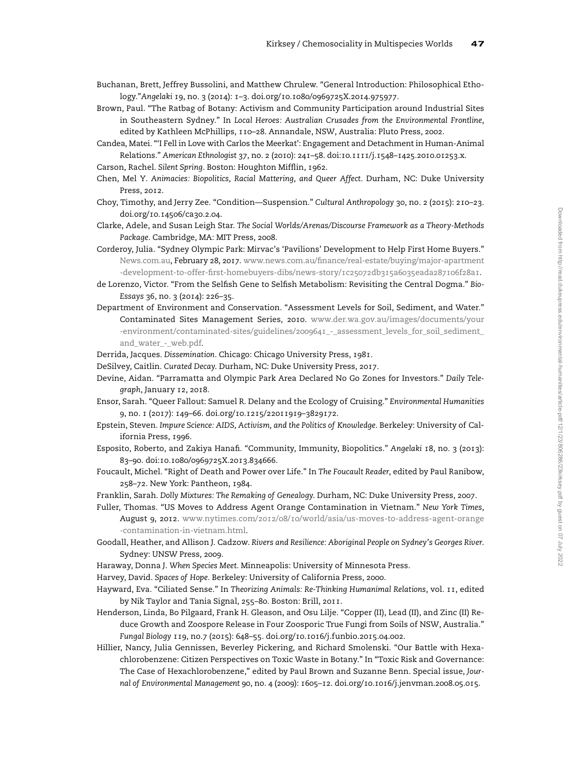- Buchanan, Brett, Jeffrey Bussolini, and Matthew Chrulew. "General Introduction: Philosophical Ethology."Angelaki 19, no. 3 (2014): 1–3. doi.org/10.1080/0969725X.2014.975977.
- Brown, Paul. "The Ratbag of Botany: Activism and Community Participation around Industrial Sites in Southeastern Sydney." In Local Heroes: Australian Crusades from the Environmental Frontline, edited by Kathleen McPhillips, 110–28. Annandale, NSW, Australia: Pluto Press, 2002.
- Candea, Matei. "'I Fell in Love with Carlos the Meerkat': Engagement and Detachment in Human-Animal Relations." American Ethnologist 37, no. 2 (2010): 241–58. doi:10.1111/j.1548–1425.2010.01253.x.
- Carson, Rachel. Silent Spring. Boston: Houghton Mifflin, 1962.
- Chen, Mel Y. Animacies: Biopolitics, Racial Mattering, and Queer Affect. Durham, NC: Duke University Press, 2012.
- Choy, Timothy, and Jerry Zee. "Condition—Suspension." Cultural Anthropology 30, no. 2 (2015): 210–23. doi.org/10.14506/ca30.2.04.
- Clarke, Adele, and Susan Leigh Star. The Social Worlds/Arenas/Discourse Framework as a Theory-Methods Package. Cambridge, MA: MIT Press, 2008.
- Corderoy, Julia. "Sydney Olympic Park: Mirvac's 'Pavilions' Development to Help First Home Buyers." [News.com.au](http://News.com.au), February 28, 2017. www.news.com.au/fi[nance/real-estate/buying/major-apartment](http://www.news.com.au/finance/real-estate/buying/major-apartment-development-to-offer-first-homebuyers-dibs/news-story/1c25072db315a6035eada287106f28a1) -development-to-offer-fi[rst-homebuyers-dibs/news-story/1c25072db315a6035eada287106f28a1](http://www.news.com.au/finance/real-estate/buying/major-apartment-development-to-offer-first-homebuyers-dibs/news-story/1c25072db315a6035eada287106f28a1).
- de Lorenzo, Victor. "From the Selfish Gene to Selfish Metabolism: Revisiting the Central Dogma." Bio-Essays 36, no. 3 (2014): 226–35.
- Department of Environment and Conservation. "Assessment Levels for Soil, Sediment, and Water." Contaminated Sites Management Series, 2010. [www.der.wa.gov.au/images/documents/your](http://www.der.wa.gov.au/images/documents/your-environment/contaminated-sites/guidelines/2009641_-_assessment_levels_for_soil_sediment_and_water_-_web.pdf) [-environment/contaminated-sites/guidelines/2009641\\_-\\_assessment\\_levels\\_for\\_soil\\_sediment\\_](http://www.der.wa.gov.au/images/documents/your-environment/contaminated-sites/guidelines/2009641_-_assessment_levels_for_soil_sediment_and_water_-_web.pdf) [and\\_water\\_-\\_web.pdf.](http://www.der.wa.gov.au/images/documents/your-environment/contaminated-sites/guidelines/2009641_-_assessment_levels_for_soil_sediment_and_water_-_web.pdf)
- Derrida, Jacques. Dissemination. Chicago: Chicago University Press, 1981.
- DeSilvey, Caitlin. Curated Decay. Durham, NC: Duke University Press, 2017.
- Devine, Aidan. "Parramatta and Olympic Park Area Declared No Go Zones for Investors." Daily Telegraph, January 12, 2018.
- Ensor, Sarah. "Queer Fallout: Samuel R. Delany and the Ecology of Cruising." Environmental Humanities 9, no. 1 (2017): 149–66. doi.org/10.1215/22011919–3829172.
- Epstein, Steven. Impure Science: AIDS, Activism, and the Politics of Knowledge. Berkeley: University of California Press, 1996.
- Esposito, Roberto, and Zakiya Hanafi. "Community, Immunity, Biopolitics." Angelaki 18, no. 3 (2013): 83–90. doi:10.1080/0969725X.2013.834666.
- Foucault, Michel. "Right of Death and Power over Life." In The Foucault Reader, edited by Paul Ranibow, 258–72. New York: Pantheon, 1984.
- Franklin, Sarah. Dolly Mixtures: The Remaking of Genealogy. Durham, NC: Duke University Press, 2007.
- Fuller, Thomas. "US Moves to Address Agent Orange Contamination in Vietnam." New York Times, August 9, 2012. [www.nytimes.com/2012/08/10/world/asia/us-moves-to-address-agent-orange](http://www.nytimes.com/2012/08/10/world/asia/us-moves-to-address-agent-orange-contamination-in-vietnam.html) [-contamination-in-vietnam.html](http://www.nytimes.com/2012/08/10/world/asia/us-moves-to-address-agent-orange-contamination-in-vietnam.html).
- Goodall, Heather, and Allison J. Cadzow. Rivers and Resilience: Aboriginal People on Sydney's Georges River. Sydney: UNSW Press, 2009.
- Haraway, Donna J. When Species Meet. Minneapolis: University of Minnesota Press.
- Harvey, David. Spaces of Hope. Berkeley: University of California Press, 2000.
- Hayward, Eva. "Ciliated Sense." In Theorizing Animals: Re-Thinking Humanimal Relations, vol. 11, edited by Nik Taylor and Tania Signal, 255–80. Boston: Brill, 2011.
- Henderson, Linda, Bo Pilgaard, Frank H. Gleason, and Osu Lilje. "Copper (II), Lead (II), and Zinc (II) Reduce Growth and Zoospore Release in Four Zoosporic True Fungi from Soils of NSW, Australia." Fungal Biology 119, no.7 (2015): 648–55. doi.org/10.1016/j.funbio.2015.04.002.
- Hillier, Nancy, Julia Gennissen, Beverley Pickering, and Richard Smolenski. "Our Battle with Hexachlorobenzene: Citizen Perspectives on Toxic Waste in Botany." In "Toxic Risk and Governance: The Case of Hexachlorobenzene," edited by Paul Brown and Suzanne Benn. Special issue, Journal of Environmental Management 90, no. 4 (2009): 1605–12. doi.org/10.1016/j.jenvman.2008.05.015.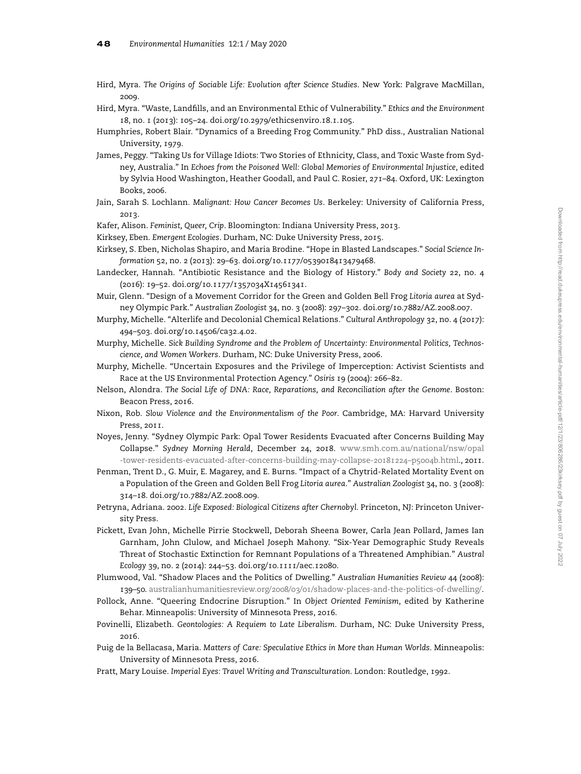- Hird, Myra. The Origins of Sociable Life: Evolution after Science Studies. New York: Palgrave MacMillan, 2009.
- Hird, Myra. "Waste, Landfills, and an Environmental Ethic of Vulnerability." Ethics and the Environment 18, no. 1 (2013): 105–24. doi.org/10.2979/ethicsenviro.18.1.105.
- Humphries, Robert Blair. "Dynamics of a Breeding Frog Community." PhD diss., Australian National University, 1979.
- James, Peggy. "Taking Us for Village Idiots: Two Stories of Ethnicity, Class, and Toxic Waste from Sydney, Australia." In Echoes from the Poisoned Well: Global Memories of Environmental Injustice, edited by Sylvia Hood Washington, Heather Goodall, and Paul C. Rosier, 271–84. Oxford, UK: Lexington Books, 2006.
- Jain, Sarah S. Lochlann. Malignant: How Cancer Becomes Us. Berkeley: University of California Press, 2013.
- Kafer, Alison. Feminist, Queer, Crip. Bloomington: Indiana University Press, 2013.
- Kirksey, Eben. Emergent Ecologies. Durham, NC: Duke University Press, 2015.
- Kirksey, S. Eben, Nicholas Shapiro, and Maria Brodine. "Hope in Blasted Landscapes." Social Science Information 52, no. 2 (2013): 29–63. doi.org/10.1177/0539018413479468.
- Landecker, Hannah. "Antibiotic Resistance and the Biology of History." Body and Society 22, no. 4 (2016): 19–52. doi.org/10.1177/1357034X14561341.
- Muir, Glenn. "Design of a Movement Corridor for the Green and Golden Bell Frog Litoria aurea at Sydney Olympic Park." Australian Zoologist 34, no. 3 (2008): 297–302. doi.org/10.7882/AZ.2008.007.
- Murphy, Michelle. "Alterlife and Decolonial Chemical Relations." Cultural Anthropology 32, no. 4 (2017): 494–503. doi.org/10.14506/ca32.4.02.
- Murphy, Michelle. Sick Building Syndrome and the Problem of Uncertainty: Environmental Politics, Technoscience, and Women Workers. Durham, NC: Duke University Press, 2006.
- Murphy, Michelle. "Uncertain Exposures and the Privilege of Imperception: Activist Scientists and Race at the US Environmental Protection Agency." Osiris 19 (2004): 266–82.
- Nelson, Alondra. The Social Life of DNA: Race, Reparations, and Reconciliation after the Genome. Boston: Beacon Press, 2016.
- Nixon, Rob. Slow Violence and the Environmentalism of the Poor. Cambridge, MA: Harvard University Press, 2011.
- Noyes, Jenny. "Sydney Olympic Park: Opal Tower Residents Evacuated after Concerns Building May Collapse." Sydney Morning Herald, December 24, 2018. [www.smh.com.au/national/nsw/opal](http://www.smh.com.au/national/nsw/opal-tower-residents-evacuated-after-concerns-building-may-collapse-20181224p50o4b.html) [-tower-residents-evacuated-after-concerns-building-may-collapse-20181224](http://www.smh.com.au/national/nsw/opal-tower-residents-evacuated-after-concerns-building-may-collapse-20181224p50o4b.html)–p50o4b.html., 2011.
- Penman, Trent D., G. Muir, E. Magarey, and E. Burns. "Impact of a Chytrid-Related Mortality Event on a Population of the Green and Golden Bell Frog Litoria aurea." Australian Zoologist 34, no. 3 (2008): 314–18. doi.org/10.7882/AZ.2008.009.
- Petryna, Adriana. 2002. Life Exposed: Biological Citizens after Chernobyl. Princeton, NJ: Princeton University Press.
- Pickett, Evan John, Michelle Pirrie Stockwell, Deborah Sheena Bower, Carla Jean Pollard, James Ian Garnham, John Clulow, and Michael Joseph Mahony. "Six-Year Demographic Study Reveals Threat of Stochastic Extinction for Remnant Populations of a Threatened Amphibian." Austral Ecology 39, no. 2 (2014): 244–53. doi.org/10.1111/aec.12080.
- Plumwood, Val. "Shadow Places and the Politics of Dwelling." Australian Humanities Review 44 (2008): 139–50. [australianhumanitiesreview.org/2008/03/01/shadow-places-and-the-politics-of-dwelling/.](http://australianhumanitiesreview.org/2008/03/01/shadow-places-and-the-politics-of-dwelling/)
- Pollock, Anne. "Queering Endocrine Disruption." In Object Oriented Feminism, edited by Katherine Behar. Minneapolis: University of Minnesota Press, 2016.
- Povinelli, Elizabeth. Geontologies: A Requiem to Late Liberalism. Durham, NC: Duke University Press, 2016.
- Puig de la Bellacasa, Maria. Matters of Care: Speculative Ethics in More than Human Worlds. Minneapolis: University of Minnesota Press, 2016.
- Pratt, Mary Louise. Imperial Eyes: Travel Writing and Transculturation. London: Routledge, 1992.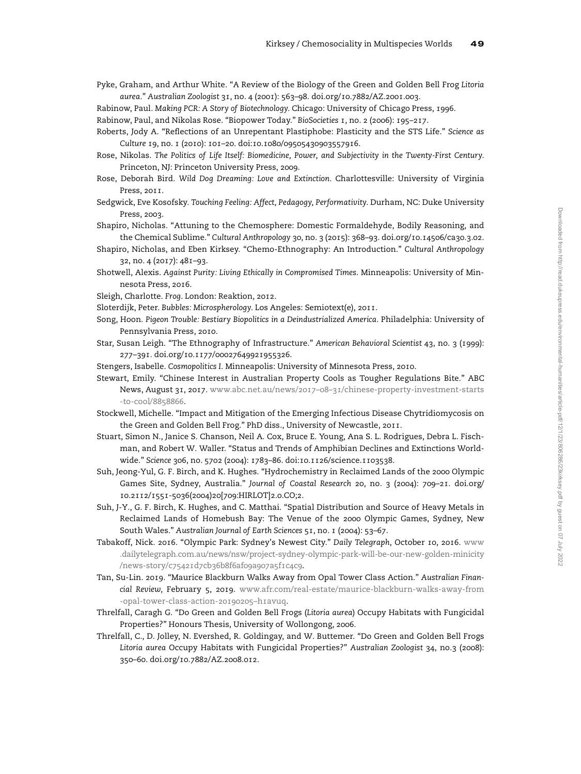- Pyke, Graham, and Arthur White. "A Review of the Biology of the Green and Golden Bell Frog Litoria aurea." Australian Zoologist 31, no. 4 (2001): 563–98. doi.org/10.7882/AZ.2001.003.
- Rabinow, Paul. Making PCR: A Story of Biotechnology. Chicago: University of Chicago Press, 1996.

Rabinow, Paul, and Nikolas Rose. "Biopower Today." BioSocieties 1, no. 2 (2006): 195–217.

- Roberts, Jody A. "Reflections of an Unrepentant Plastiphobe: Plasticity and the STS Life." Science as Culture 19, no. 1 (2010): 101–20. doi:10.1080/09505430903557916.
- Rose, Nikolas. The Politics of Life Itself: Biomedicine, Power, and Subjectivity in the Twenty-First Century. Princeton, NJ: Princeton University Press, 2009.
- Rose, Deborah Bird. Wild Dog Dreaming: Love and Extinction. Charlottesville: University of Virginia Press, 2011.
- Sedgwick, Eve Kosofsky. Touching Feeling: Affect, Pedagogy, Performativity. Durham, NC: Duke University Press, 2003.
- Shapiro, Nicholas. "Attuning to the Chemosphere: Domestic Formaldehyde, Bodily Reasoning, and the Chemical Sublime." Cultural Anthropology 30, no. 3 (2015): 368–93. doi.org/10.14506/ca30.3.02.
- Shapiro, Nicholas, and Eben Kirksey. "Chemo-Ethnography: An Introduction." Cultural Anthropology 32, no. 4 (2017): 481–93.
- Shotwell, Alexis. Against Purity: Living Ethically in Compromised Times. Minneapolis: University of Minnesota Press, 2016.
- Sleigh, Charlotte. Frog. London: Reaktion, 2012.
- Sloterdijk, Peter. Bubbles: Microspherology. Los Angeles: Semiotext(e), 2011.
- Song, Hoon. Pigeon Trouble: Bestiary Biopolitics in a Deindustrialized America. Philadelphia: University of Pennsylvania Press, 2010.
- Star, Susan Leigh. "The Ethnography of Infrastructure." American Behavioral Scientist 43, no. 3 (1999): 277–391. doi.org/10.1177/00027649921955326.
- Stengers, Isabelle. Cosmopolitics I. Minneapolis: University of Minnesota Press, 2010.
- Stewart, Emily. "Chinese Interest in Australian Property Cools as Tougher Regulations Bite." ABC News, August 31, 2017. www.abc.net.au/news/2017–08–[31/chinese-property-investment-starts](http://www.abc.net.au/news/20170831/chinese-property-investment-starts-to-cool/8858866) [-to-cool/8858866.](http://www.abc.net.au/news/20170831/chinese-property-investment-starts-to-cool/8858866)
- Stockwell, Michelle. "Impact and Mitigation of the Emerging Infectious Disease Chytridiomycosis on the Green and Golden Bell Frog." PhD diss., University of Newcastle, 2011.
- Stuart, Simon N., Janice S. Chanson, Neil A. Cox, Bruce E. Young, Ana S. L. Rodrigues, Debra L. Fischman, and Robert W. Waller. "Status and Trends of Amphibian Declines and Extinctions Worldwide." Science 306, no. 5702 (2004): 1783–86. doi:10.1126/science.1103538.
- Suh, Jeong-Yul, G. F. Birch, and K. Hughes. "Hydrochemistry in Reclaimed Lands of the 2000 Olympic Games Site, Sydney, Australia." Journal of Coastal Research 20, no. 3 (2004): 709–21. doi.org/ 10.2112/1551-5036(2004)20[709:HIRLOT]2.0.CO;2.
- Suh, J-Y., G. F. Birch, K. Hughes, and C. Matthai. "Spatial Distribution and Source of Heavy Metals in Reclaimed Lands of Homebush Bay: The Venue of the 2000 Olympic Games, Sydney, New South Wales." Australian Journal of Earth Sciences 51, no. 1 (2004): 53–67.
- Tabakoff, Nick. 2016. "Olympic Park: Sydney's Newest City." Daily Telegraph, October 10, 2016. [www](http://www.dailytelegraph.com.au/news/nsw/project-sydney-olympic-park-will-be-our-new-golden-minicity/news-story/c75421d7cb36b8f6af09a907a5f1c4c9) [.dailytelegraph.com.au/news/nsw/project-sydney-olympic-park-will-be-our-new-golden-minicity](http://www.dailytelegraph.com.au/news/nsw/project-sydney-olympic-park-will-be-our-new-golden-minicity/news-story/c75421d7cb36b8f6af09a907a5f1c4c9) [/news-story/c75421d7cb36b8f6af09a907a5f1c4c9.](http://www.dailytelegraph.com.au/news/nsw/project-sydney-olympic-park-will-be-our-new-golden-minicity/news-story/c75421d7cb36b8f6af09a907a5f1c4c9)
- Tan, Su-Lin. 2019. "Maurice Blackburn Walks Away from Opal Tower Class Action." Australian Financial Review, February 5, 2019. [www.afr.com/real-estate/maurice-blackburn-walks-away-from](http://www.afr.com/real-estate/maurice-blackburn-walks-away-from-opal-tower-class-action-20190205h1avuq) [-opal-tower-class-action-20190205](http://www.afr.com/real-estate/maurice-blackburn-walks-away-from-opal-tower-class-action-20190205h1avuq)–h1avuq.
- Threlfall, Caragh G. "Do Green and Golden Bell Frogs (Litoria aurea) Occupy Habitats with Fungicidal Properties?" Honours Thesis, University of Wollongong, 2006.
- Threlfall, C., D. Jolley, N. Evershed, R. Goldingay, and W. Buttemer. "Do Green and Golden Bell Frogs Litoria aurea Occupy Habitats with Fungicidal Properties?" Australian Zoologist 34, no.3 (2008): 350–60. doi.org/10.7882/AZ.2008.012.